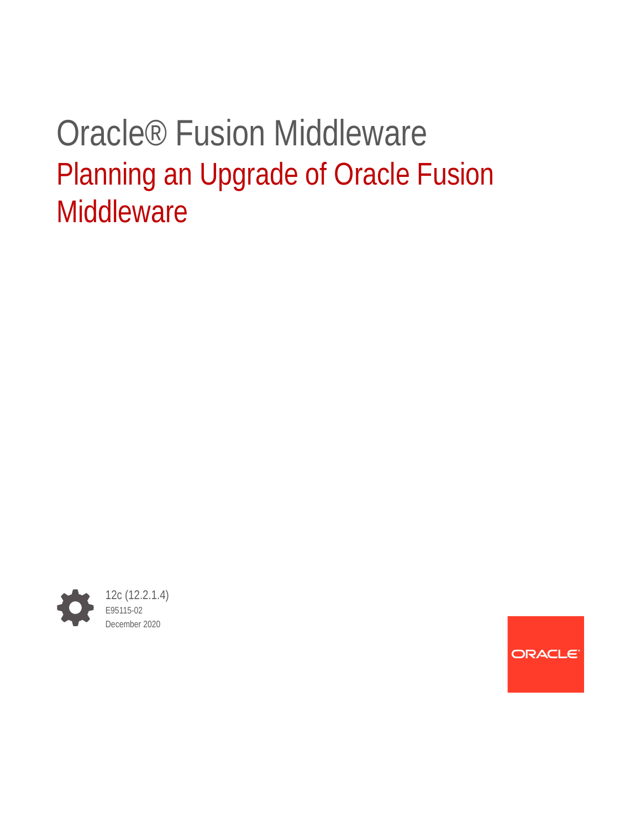# Oracle® Fusion Middleware Planning an Upgrade of Oracle Fusion **Middleware**



ORACLE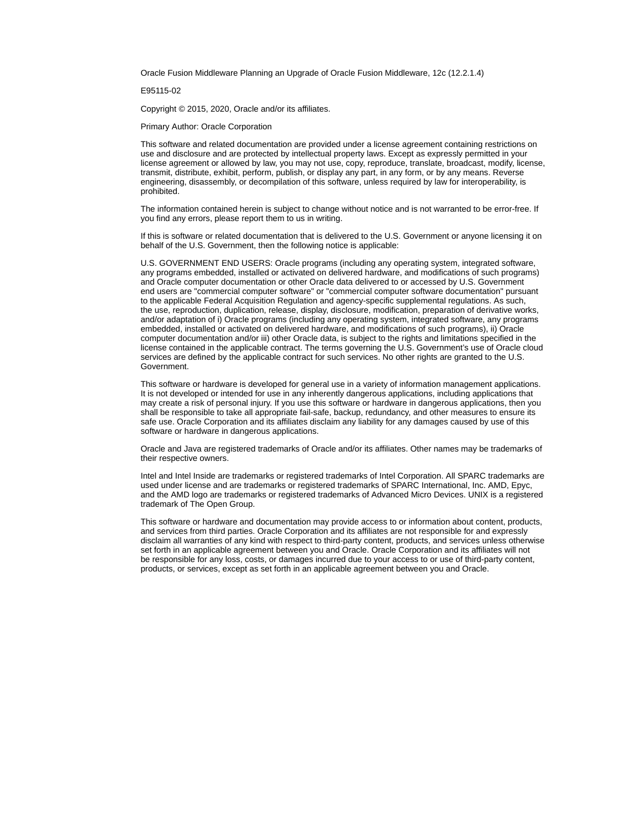Oracle Fusion Middleware Planning an Upgrade of Oracle Fusion Middleware, 12c (12.2.1.4)

E95115-02

Copyright © 2015, 2020, Oracle and/or its affiliates.

Primary Author: Oracle Corporation

This software and related documentation are provided under a license agreement containing restrictions on use and disclosure and are protected by intellectual property laws. Except as expressly permitted in your license agreement or allowed by law, you may not use, copy, reproduce, translate, broadcast, modify, license, transmit, distribute, exhibit, perform, publish, or display any part, in any form, or by any means. Reverse engineering, disassembly, or decompilation of this software, unless required by law for interoperability, is prohibited.

The information contained herein is subject to change without notice and is not warranted to be error-free. If you find any errors, please report them to us in writing.

If this is software or related documentation that is delivered to the U.S. Government or anyone licensing it on behalf of the U.S. Government, then the following notice is applicable:

U.S. GOVERNMENT END USERS: Oracle programs (including any operating system, integrated software, any programs embedded, installed or activated on delivered hardware, and modifications of such programs) and Oracle computer documentation or other Oracle data delivered to or accessed by U.S. Government end users are "commercial computer software" or "commercial computer software documentation" pursuant to the applicable Federal Acquisition Regulation and agency-specific supplemental regulations. As such, the use, reproduction, duplication, release, display, disclosure, modification, preparation of derivative works, and/or adaptation of i) Oracle programs (including any operating system, integrated software, any programs embedded, installed or activated on delivered hardware, and modifications of such programs), ii) Oracle computer documentation and/or iii) other Oracle data, is subject to the rights and limitations specified in the license contained in the applicable contract. The terms governing the U.S. Government's use of Oracle cloud services are defined by the applicable contract for such services. No other rights are granted to the U.S. Government.

This software or hardware is developed for general use in a variety of information management applications. It is not developed or intended for use in any inherently dangerous applications, including applications that may create a risk of personal injury. If you use this software or hardware in dangerous applications, then you shall be responsible to take all appropriate fail-safe, backup, redundancy, and other measures to ensure its safe use. Oracle Corporation and its affiliates disclaim any liability for any damages caused by use of this software or hardware in dangerous applications.

Oracle and Java are registered trademarks of Oracle and/or its affiliates. Other names may be trademarks of their respective owners.

Intel and Intel Inside are trademarks or registered trademarks of Intel Corporation. All SPARC trademarks are used under license and are trademarks or registered trademarks of SPARC International, Inc. AMD, Epyc, and the AMD logo are trademarks or registered trademarks of Advanced Micro Devices. UNIX is a registered trademark of The Open Group.

This software or hardware and documentation may provide access to or information about content, products, and services from third parties. Oracle Corporation and its affiliates are not responsible for and expressly disclaim all warranties of any kind with respect to third-party content, products, and services unless otherwise set forth in an applicable agreement between you and Oracle. Oracle Corporation and its affiliates will not be responsible for any loss, costs, or damages incurred due to your access to or use of third-party content, products, or services, except as set forth in an applicable agreement between you and Oracle.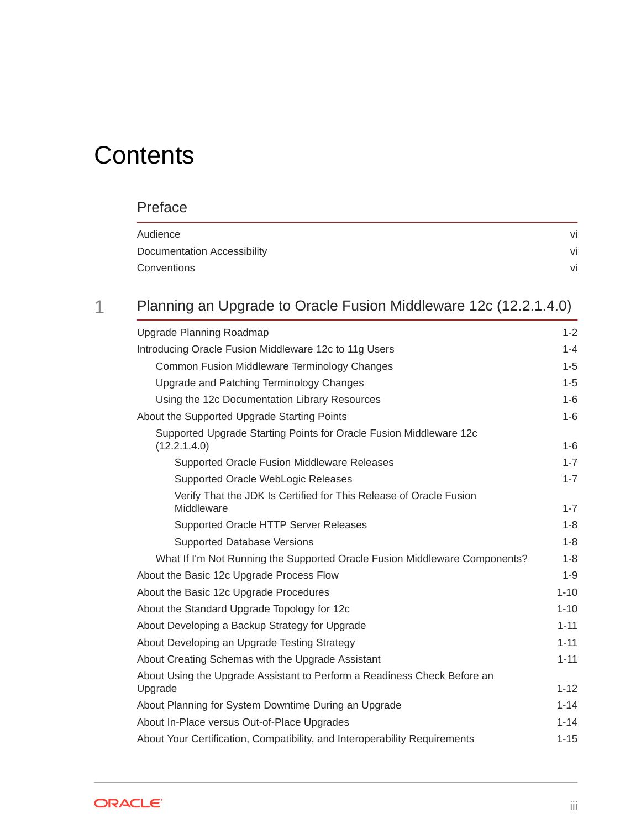# **Contents**

### [Preface](#page-5-0)

| Audience                    | VI |
|-----------------------------|----|
| Documentation Accessibility | vi |
| Conventions                 | vi |

### 1 [Planning an Upgrade to Oracle Fusion Middleware 12c \(12.2.1.4.0\)](#page-7-0)

| Upgrade Planning Roadmap                                                            | $1 - 2$  |  |
|-------------------------------------------------------------------------------------|----------|--|
| Introducing Oracle Fusion Middleware 12c to 11g Users                               | $1 - 4$  |  |
| Common Fusion Middleware Terminology Changes                                        | $1-5$    |  |
| Upgrade and Patching Terminology Changes                                            | $1-5$    |  |
| Using the 12c Documentation Library Resources                                       | $1-6$    |  |
| About the Supported Upgrade Starting Points                                         | $1-6$    |  |
| Supported Upgrade Starting Points for Oracle Fusion Middleware 12c<br>(12.2.1.4.0)  | $1-6$    |  |
| Supported Oracle Fusion Middleware Releases                                         | $1 - 7$  |  |
| Supported Oracle WebLogic Releases                                                  | $1 - 7$  |  |
| Verify That the JDK Is Certified for This Release of Oracle Fusion<br>Middleware    | $1 - 7$  |  |
| Supported Oracle HTTP Server Releases                                               | $1 - 8$  |  |
| Supported Database Versions                                                         | $1-8$    |  |
| What If I'm Not Running the Supported Oracle Fusion Middleware Components?          | $1-8$    |  |
| About the Basic 12c Upgrade Process Flow                                            | $1-9$    |  |
| About the Basic 12c Upgrade Procedures                                              | $1 - 10$ |  |
| About the Standard Upgrade Topology for 12c                                         | $1 - 10$ |  |
| About Developing a Backup Strategy for Upgrade                                      | $1 - 11$ |  |
| About Developing an Upgrade Testing Strategy                                        | $1 - 11$ |  |
| About Creating Schemas with the Upgrade Assistant                                   | $1 - 11$ |  |
| About Using the Upgrade Assistant to Perform a Readiness Check Before an<br>Upgrade | $1 - 12$ |  |
| About Planning for System Downtime During an Upgrade                                | $1 - 14$ |  |
| About In-Place versus Out-of-Place Upgrades                                         | $1 - 14$ |  |
| About Your Certification, Compatibility, and Interoperability Requirements          | $1 - 15$ |  |
|                                                                                     |          |  |

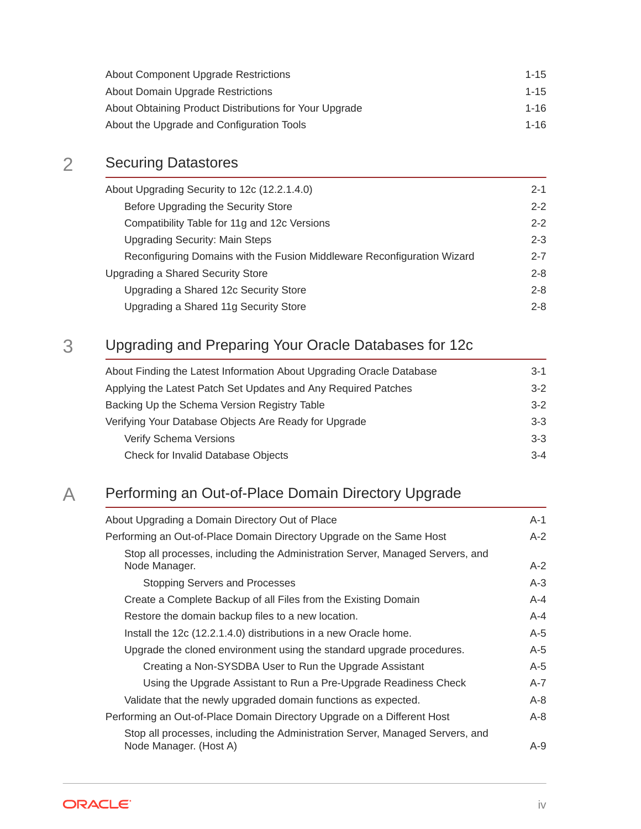| About Component Upgrade Restrictions                   | $1 - 15$ |
|--------------------------------------------------------|----------|
| About Domain Upgrade Restrictions                      | $1 - 15$ |
| About Obtaining Product Distributions for Your Upgrade | 1-16     |
| About the Upgrade and Configuration Tools              | 1-16     |

### 2 [Securing Datastores](#page-24-0)

| About Upgrading Security to 12c (12.2.1.4.0)                            | $2 - 1$ |
|-------------------------------------------------------------------------|---------|
| Before Upgrading the Security Store                                     | $2 - 2$ |
| Compatibility Table for 11g and 12c Versions                            | $2 - 2$ |
| <b>Upgrading Security: Main Steps</b>                                   | $2 - 3$ |
| Reconfiguring Domains with the Fusion Middleware Reconfiguration Wizard | $2 - 7$ |
| Upgrading a Shared Security Store                                       | $2 - 8$ |
| Upgrading a Shared 12c Security Store                                   | $2 - 8$ |
| Upgrading a Shared 11g Security Store                                   | $2 - 8$ |
|                                                                         |         |

### 3 [Upgrading and Preparing Your Oracle Databases for 12c](#page-33-0)

| About Finding the Latest Information About Upgrading Oracle Database | $3-1$   |
|----------------------------------------------------------------------|---------|
| Applying the Latest Patch Set Updates and Any Required Patches       | $3-2$   |
| Backing Up the Schema Version Registry Table                         | $3-2$   |
| Verifying Your Database Objects Are Ready for Upgrade                | $3-3$   |
| <b>Verify Schema Versions</b>                                        | $3-3$   |
| Check for Invalid Database Objects                                   | $3 - 4$ |

### A [Performing an Out-of-Place Domain Directory Upgrade](#page-37-0)

| About Upgrading a Domain Directory Out of Place                                                         | $A-1$   |
|---------------------------------------------------------------------------------------------------------|---------|
| Performing an Out-of-Place Domain Directory Upgrade on the Same Host                                    | $A-2$   |
| Stop all processes, including the Administration Server, Managed Servers, and<br>Node Manager.          | $A-2$   |
| Stopping Servers and Processes                                                                          | $A-3$   |
| Create a Complete Backup of all Files from the Existing Domain                                          | $A - 4$ |
| Restore the domain backup files to a new location.                                                      | $A - 4$ |
| Install the 12c (12.2.1.4.0) distributions in a new Oracle home.                                        | $A-5$   |
| Upgrade the cloned environment using the standard upgrade procedures.                                   | $A-5$   |
| Creating a Non-SYSDBA User to Run the Upgrade Assistant                                                 | $A-5$   |
| Using the Upgrade Assistant to Run a Pre-Upgrade Readiness Check                                        | $A - 7$ |
| Validate that the newly upgraded domain functions as expected.                                          | $A-8$   |
| Performing an Out-of-Place Domain Directory Upgrade on a Different Host                                 | $A-8$   |
| Stop all processes, including the Administration Server, Managed Servers, and<br>Node Manager. (Host A) | $A-9$   |

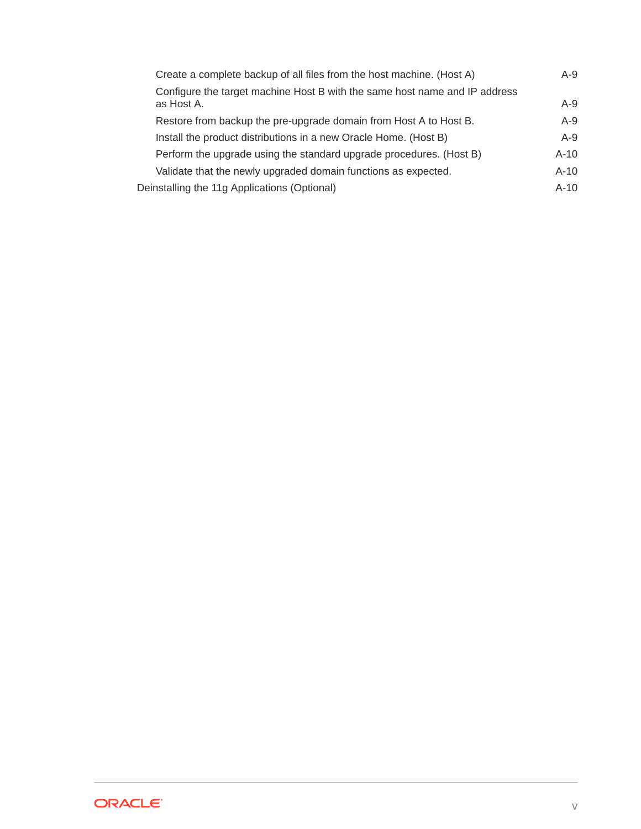| Create a complete backup of all files from the host machine. (Host A)                    | $A-9$  |
|------------------------------------------------------------------------------------------|--------|
| Configure the target machine Host B with the same host name and IP address<br>as Host A. | $A-9$  |
| Restore from backup the pre-upgrade domain from Host A to Host B.                        | $A-9$  |
| Install the product distributions in a new Oracle Home. (Host B)                         | $A-9$  |
| Perform the upgrade using the standard upgrade procedures. (Host B)                      | $A-10$ |
| Validate that the newly upgraded domain functions as expected.                           | $A-10$ |
| Deinstalling the 11g Applications (Optional)                                             | $A-10$ |
|                                                                                          |        |

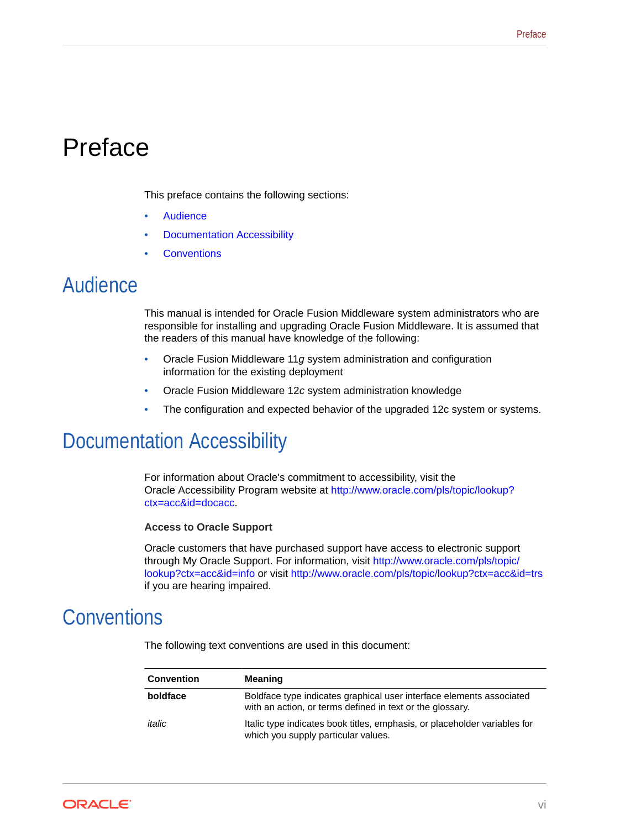# <span id="page-5-0"></span>Preface

This preface contains the following sections:

- **Audience**
- Documentation Accessibility
- **Conventions**

## Audience

This manual is intended for Oracle Fusion Middleware system administrators who are responsible for installing and upgrading Oracle Fusion Middleware. It is assumed that the readers of this manual have knowledge of the following:

- Oracle Fusion Middleware 11*g* system administration and configuration information for the existing deployment
- Oracle Fusion Middleware 12*c* system administration knowledge
- The configuration and expected behavior of the upgraded 12c system or systems.

# Documentation Accessibility

For information about Oracle's commitment to accessibility, visit the Oracle Accessibility Program website at [http://www.oracle.com/pls/topic/lookup?](http://www.oracle.com/pls/topic/lookup?ctx=acc&id=docacc) [ctx=acc&id=docacc](http://www.oracle.com/pls/topic/lookup?ctx=acc&id=docacc).

#### **Access to Oracle Support**

Oracle customers that have purchased support have access to electronic support through My Oracle Support. For information, visit [http://www.oracle.com/pls/topic/](http://www.oracle.com/pls/topic/lookup?ctx=acc&id=info) [lookup?ctx=acc&id=info](http://www.oracle.com/pls/topic/lookup?ctx=acc&id=info) or visit<http://www.oracle.com/pls/topic/lookup?ctx=acc&id=trs> if you are hearing impaired.

## **Conventions**

The following text conventions are used in this document:

| <b>Convention</b> | Meaning                                                                                                                           |
|-------------------|-----------------------------------------------------------------------------------------------------------------------------------|
| boldface          | Boldface type indicates graphical user interface elements associated<br>with an action, or terms defined in text or the glossary. |
| italic            | Italic type indicates book titles, emphasis, or placeholder variables for<br>which you supply particular values.                  |

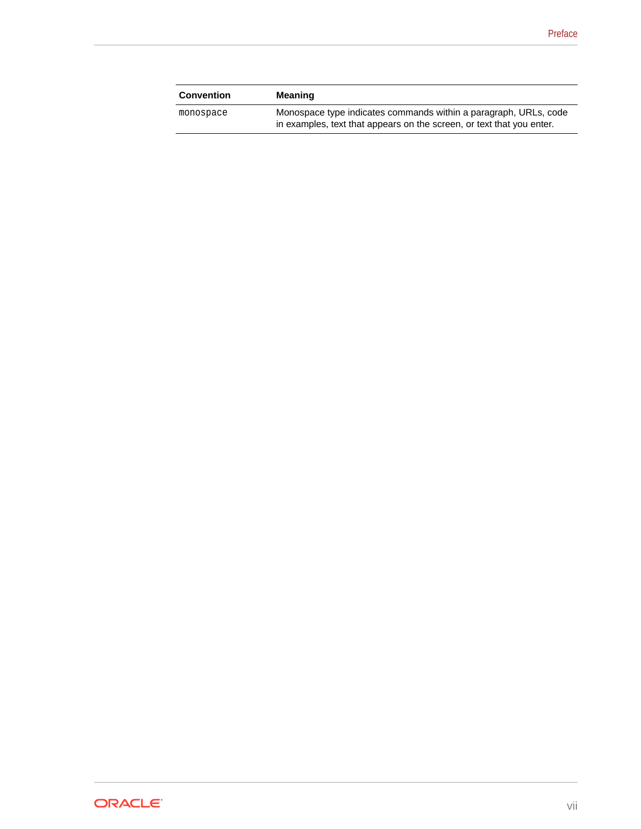| <b>Convention</b> | <b>Meaning</b>                                                                                                                            |
|-------------------|-------------------------------------------------------------------------------------------------------------------------------------------|
| monospace         | Monospace type indicates commands within a paragraph, URLs, code<br>in examples, text that appears on the screen, or text that you enter. |

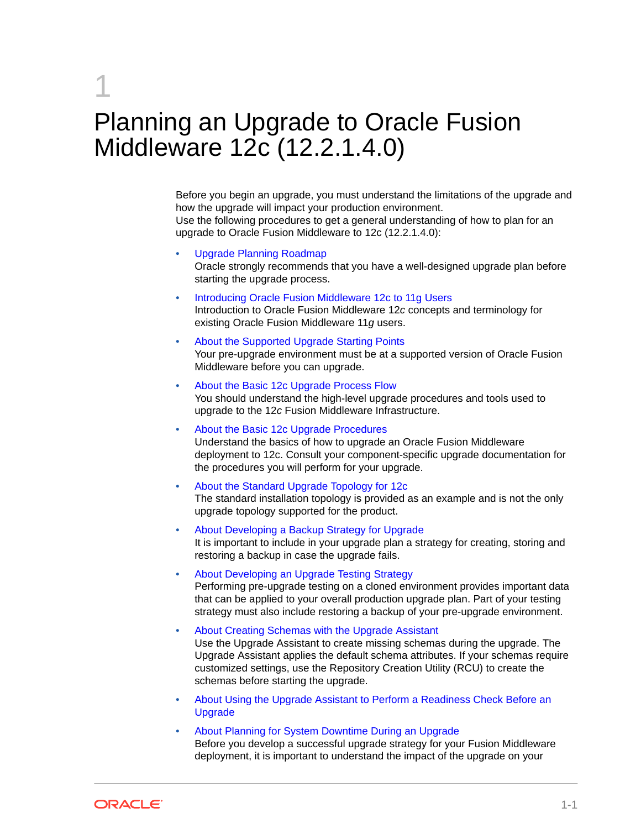# <span id="page-7-0"></span>1 Planning an Upgrade to Oracle Fusion Middleware 12c (12.2.1.4.0)

Before you begin an upgrade, you must understand the limitations of the upgrade and how the upgrade will impact your production environment. Use the following procedures to get a general understanding of how to plan for an upgrade to Oracle Fusion Middleware to 12c (12.2.1.4.0):

- [Upgrade Planning Roadmap](#page-8-0) Oracle strongly recommends that you have a well-designed upgrade plan before starting the upgrade process.
- [Introducing Oracle Fusion Middleware 12c to 11g Users](#page-10-0) Introduction to Oracle Fusion Middleware 12*c* concepts and terminology for existing Oracle Fusion Middleware 11*g* users.
- [About the Supported Upgrade Starting Points](#page-12-0) Your pre-upgrade environment must be at a supported version of Oracle Fusion Middleware before you can upgrade.
- [About the Basic 12c Upgrade Process Flow](#page-15-0) You should understand the high-level upgrade procedures and tools used to upgrade to the 12*c* Fusion Middleware Infrastructure.
- [About the Basic 12c Upgrade Procedures](#page-16-0) Understand the basics of how to upgrade an Oracle Fusion Middleware deployment to 12c. Consult your component-specific upgrade documentation for the procedures you will perform for your upgrade.
- [About the Standard Upgrade Topology for 12c](#page-16-0) The standard installation topology is provided as an example and is not the only upgrade topology supported for the product.
- [About Developing a Backup Strategy for Upgrade](#page-17-0) It is important to include in your upgrade plan a strategy for creating, storing and restoring a backup in case the upgrade fails.
- [About Developing an Upgrade Testing Strategy](#page-17-0) Performing pre-upgrade testing on a cloned environment provides important data that can be applied to your overall production upgrade plan. Part of your testing strategy must also include restoring a backup of your pre-upgrade environment.
- [About Creating Schemas with the Upgrade Assistant](#page-17-0) Use the Upgrade Assistant to create missing schemas during the upgrade. The Upgrade Assistant applies the default schema attributes. If your schemas require customized settings, use the Repository Creation Utility (RCU) to create the schemas before starting the upgrade.
- [About Using the Upgrade Assistant to Perform a Readiness Check Before an](#page-18-0) [Upgrade](#page-18-0)
- [About Planning for System Downtime During an Upgrade](#page-20-0) Before you develop a successful upgrade strategy for your Fusion Middleware deployment, it is important to understand the impact of the upgrade on your

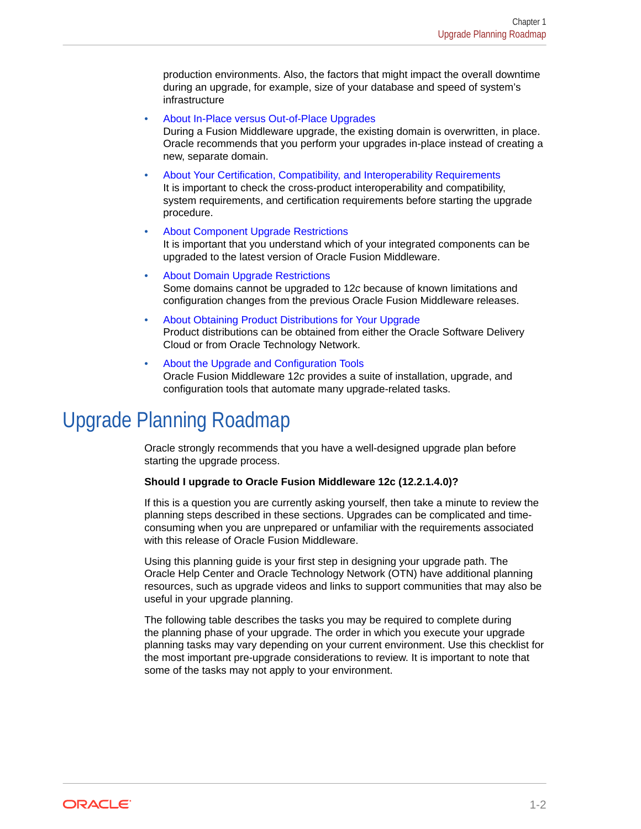<span id="page-8-0"></span>production environments. Also, the factors that might impact the overall downtime during an upgrade, for example, size of your database and speed of system's infrastructure

- [About In-Place versus Out-of-Place Upgrades](#page-20-0) During a Fusion Middleware upgrade, the existing domain is overwritten, in place. Oracle recommends that you perform your upgrades in-place instead of creating a new, separate domain.
- [About Your Certification, Compatibility, and Interoperability Requirements](#page-21-0) It is important to check the cross-product interoperability and compatibility, system requirements, and certification requirements before starting the upgrade procedure.
- [About Component Upgrade Restrictions](#page-21-0) It is important that you understand which of your integrated components can be upgraded to the latest version of Oracle Fusion Middleware.
- [About Domain Upgrade Restrictions](#page-21-0) Some domains cannot be upgraded to 12*c* because of known limitations and configuration changes from the previous Oracle Fusion Middleware releases.
- [About Obtaining Product Distributions for Your Upgrade](#page-22-0) Product distributions can be obtained from either the Oracle Software Delivery Cloud or from Oracle Technology Network.
- [About the Upgrade and Configuration Tools](#page-22-0) Oracle Fusion Middleware 12*c* provides a suite of installation, upgrade, and configuration tools that automate many upgrade-related tasks.

# Upgrade Planning Roadmap

Oracle strongly recommends that you have a well-designed upgrade plan before starting the upgrade process.

#### **Should I upgrade to Oracle Fusion Middleware 12c (12.2.1.4.0)?**

If this is a question you are currently asking yourself, then take a minute to review the planning steps described in these sections. Upgrades can be complicated and timeconsuming when you are unprepared or unfamiliar with the requirements associated with this release of Oracle Fusion Middleware.

Using this planning guide is your first step in designing your upgrade path. The Oracle Help Center and Oracle Technology Network (OTN) have additional planning resources, such as upgrade videos and links to support communities that may also be useful in your upgrade planning.

The following table describes the tasks you may be required to complete during the planning phase of your upgrade. The order in which you execute your upgrade planning tasks may vary depending on your current environment. Use this checklist for the most important pre-upgrade considerations to review. It is important to note that some of the tasks may not apply to your environment.

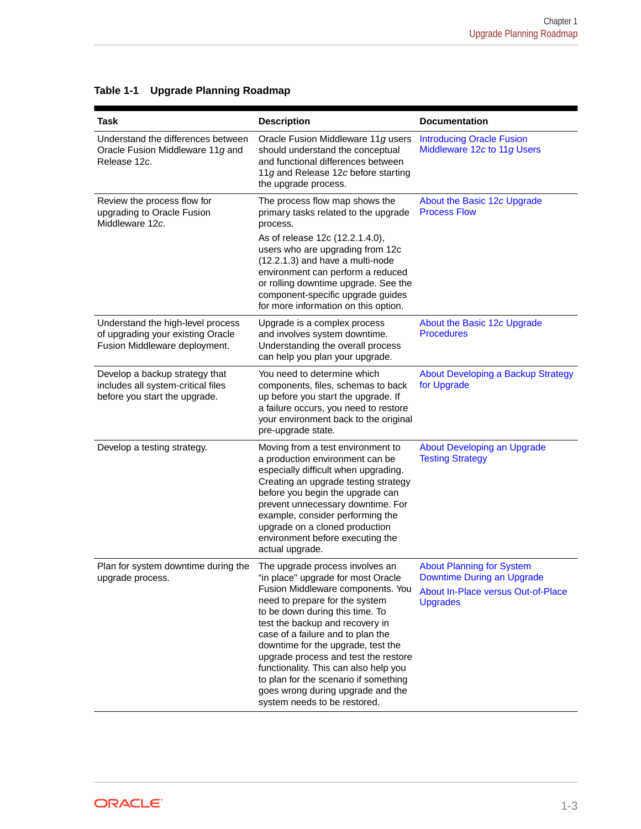| <b>Task</b>                                                                                             | <b>Description</b>                                                                                                                                                                                                                                                                                                                                                                                                                                                                           | <b>Documentation</b>                                                                                                    |
|---------------------------------------------------------------------------------------------------------|----------------------------------------------------------------------------------------------------------------------------------------------------------------------------------------------------------------------------------------------------------------------------------------------------------------------------------------------------------------------------------------------------------------------------------------------------------------------------------------------|-------------------------------------------------------------------------------------------------------------------------|
| Understand the differences between<br>Oracle Fusion Middleware 11g and<br>Release 12c.                  | Oracle Fusion Middleware 11g users<br>should understand the conceptual<br>and functional differences between<br>11g and Release 12c before starting<br>the upgrade process.                                                                                                                                                                                                                                                                                                                  | <b>Introducing Oracle Fusion</b><br>Middleware 12c to 11g Users                                                         |
| Review the process flow for<br>upgrading to Oracle Fusion<br>Middleware 12c.                            | The process flow map shows the<br>primary tasks related to the upgrade<br>process.                                                                                                                                                                                                                                                                                                                                                                                                           | About the Basic 12c Upgrade<br><b>Process Flow</b>                                                                      |
|                                                                                                         | As of release 12c (12.2.1.4.0),<br>users who are upgrading from 12c<br>(12.2.1.3) and have a multi-node<br>environment can perform a reduced<br>or rolling downtime upgrade. See the<br>component-specific upgrade guides<br>for more information on this option.                                                                                                                                                                                                                            |                                                                                                                         |
| Understand the high-level process<br>of upgrading your existing Oracle<br>Fusion Middleware deployment. | Upgrade is a complex process<br>and involves system downtime.<br>Understanding the overall process<br>can help you plan your upgrade.                                                                                                                                                                                                                                                                                                                                                        | About the Basic 12c Upgrade<br><b>Procedures</b>                                                                        |
| Develop a backup strategy that<br>includes all system-critical files<br>before you start the upgrade.   | You need to determine which<br>components, files, schemas to back<br>up before you start the upgrade. If<br>a failure occurs, you need to restore<br>your environment back to the original<br>pre-upgrade state.                                                                                                                                                                                                                                                                             | About Developing a Backup Strategy<br>for Upgrade                                                                       |
| Develop a testing strategy.                                                                             | Moving from a test environment to<br>a production environment can be<br>especially difficult when upgrading.<br>Creating an upgrade testing strategy<br>before you begin the upgrade can<br>prevent unnecessary downtime. For<br>example, consider performing the<br>upgrade on a cloned production<br>environment before executing the<br>actual upgrade.                                                                                                                                   | About Developing an Upgrade<br><b>Testing Strategy</b>                                                                  |
| Plan for system downtime during the<br>upgrade process.                                                 | The upgrade process involves an<br>"in place" upgrade for most Oracle<br>Fusion Middleware components. You<br>need to prepare for the system<br>to be down during this time. To<br>test the backup and recovery in<br>case of a failure and to plan the<br>downtime for the upgrade, test the<br>upgrade process and test the restore<br>functionality. This can also help you<br>to plan for the scenario if something<br>goes wrong during upgrade and the<br>system needs to be restored. | <b>About Planning for System</b><br>Downtime During an Upgrade<br>About In-Place versus Out-of-Place<br><b>Upgrades</b> |

#### **Table 1-1 Upgrade Planning Roadmap**

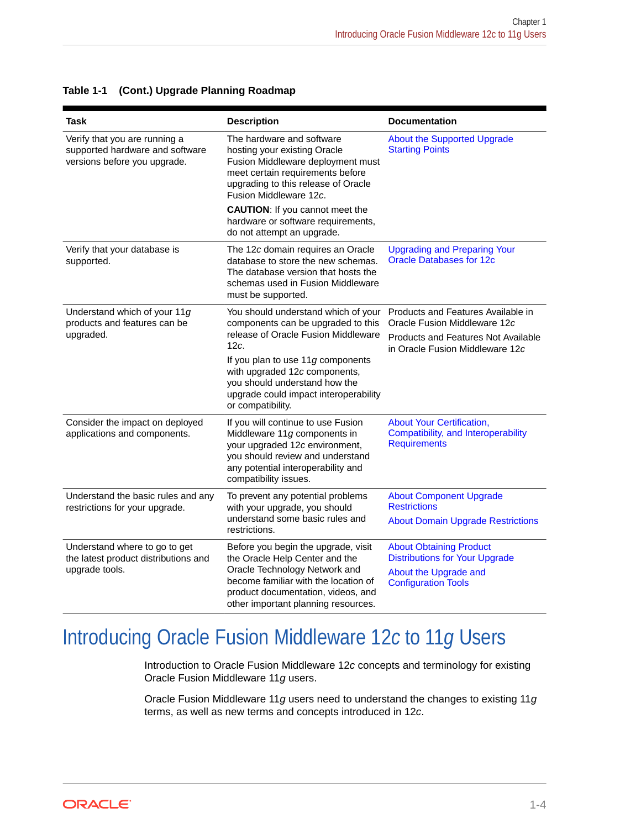| <b>Task</b>                                                                                      | <b>Description</b>                                                                                                                                                                                                          | <b>Documentation</b>                                                                           |
|--------------------------------------------------------------------------------------------------|-----------------------------------------------------------------------------------------------------------------------------------------------------------------------------------------------------------------------------|------------------------------------------------------------------------------------------------|
| Verify that you are running a<br>supported hardware and software<br>versions before you upgrade. | The hardware and software<br>hosting your existing Oracle<br>Fusion Middleware deployment must<br>meet certain requirements before<br>upgrading to this release of Oracle<br>Fusion Middleware 12c.                         | <b>About the Supported Upgrade</b><br><b>Starting Points</b>                                   |
|                                                                                                  | <b>CAUTION:</b> If you cannot meet the<br>hardware or software requirements,<br>do not attempt an upgrade.                                                                                                                  |                                                                                                |
| Verify that your database is<br>supported.                                                       | The 12c domain requires an Oracle<br>database to store the new schemas.<br>The database version that hosts the<br>schemas used in Fusion Middleware<br>must be supported.                                                   | <b>Upgrading and Preparing Your</b><br><b>Oracle Databases for 12c</b>                         |
| Understand which of your 11g<br>products and features can be                                     | You should understand which of your<br>components can be upgraded to this<br>release of Oracle Fusion Middleware<br>12c.                                                                                                    | Products and Features Available in<br>Oracle Fusion Middleware 12c                             |
| upgraded.                                                                                        |                                                                                                                                                                                                                             | Products and Features Not Available<br>in Oracle Fusion Middleware 12c                         |
|                                                                                                  | If you plan to use 11g components<br>with upgraded 12c components,<br>you should understand how the<br>upgrade could impact interoperability<br>or compatibility.                                                           |                                                                                                |
| Consider the impact on deployed<br>applications and components.                                  | If you will continue to use Fusion<br>Middleware 11g components in<br>your upgraded 12c environment,<br>you should review and understand<br>any potential interoperability and<br>compatibility issues.                     | <b>About Your Certification,</b><br>Compatibility, and Interoperability<br><b>Requirements</b> |
| Understand the basic rules and any<br>restrictions for your upgrade.                             | To prevent any potential problems<br>with your upgrade, you should<br>understand some basic rules and<br>restrictions.                                                                                                      | <b>About Component Upgrade</b><br><b>Restrictions</b>                                          |
|                                                                                                  |                                                                                                                                                                                                                             | <b>About Domain Upgrade Restrictions</b>                                                       |
| Understand where to go to get<br>the latest product distributions and                            | Before you begin the upgrade, visit<br>the Oracle Help Center and the<br>Oracle Technology Network and<br>become familiar with the location of<br>product documentation, videos, and<br>other important planning resources. | <b>About Obtaining Product</b><br><b>Distributions for Your Upgrade</b>                        |
| upgrade tools.                                                                                   |                                                                                                                                                                                                                             | About the Upgrade and<br><b>Configuration Tools</b>                                            |

#### <span id="page-10-0"></span>**Table 1-1 (Cont.) Upgrade Planning Roadmap**

# Introducing Oracle Fusion Middleware 12*c* to 11*g* Users

Introduction to Oracle Fusion Middleware 12*c* concepts and terminology for existing Oracle Fusion Middleware 11*g* users.

Oracle Fusion Middleware 11*g* users need to understand the changes to existing 11*g* terms, as well as new terms and concepts introduced in 12*c*.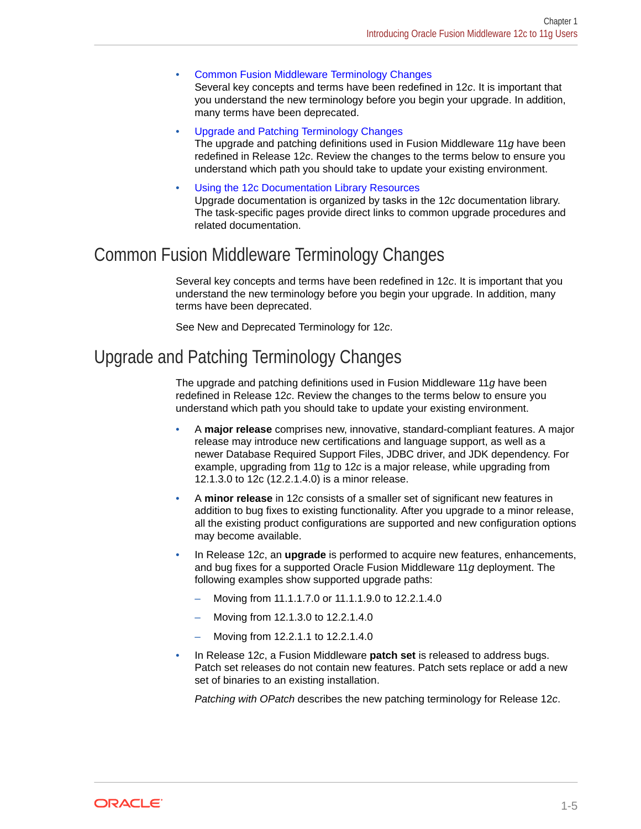<span id="page-11-0"></span>• Common Fusion Middleware Terminology Changes

Several key concepts and terms have been redefined in 12*c*. It is important that you understand the new terminology before you begin your upgrade. In addition, many terms have been deprecated.

• Upgrade and Patching Terminology Changes

The upgrade and patching definitions used in Fusion Middleware 11*g* have been redefined in Release 12*c*. Review the changes to the terms below to ensure you understand which path you should take to update your existing environment.

• [Using the 12c Documentation Library Resources](#page-12-0) Upgrade documentation is organized by tasks in the 12*c* documentation library. The task-specific pages provide direct links to common upgrade procedures and related documentation.

### Common Fusion Middleware Terminology Changes

Several key concepts and terms have been redefined in 12*c*. It is important that you understand the new terminology before you begin your upgrade. In addition, many terms have been deprecated.

See New and Deprecated Terminology for 12*c*.

### Upgrade and Patching Terminology Changes

The upgrade and patching definitions used in Fusion Middleware 11*g* have been redefined in Release 12*c*. Review the changes to the terms below to ensure you understand which path you should take to update your existing environment.

- A **major release** comprises new, innovative, standard-compliant features. A major release may introduce new certifications and language support, as well as a newer Database Required Support Files, JDBC driver, and JDK dependency. For example, upgrading from 11*g* to 12*c* is a major release, while upgrading from 12.1.3.0 to 12c (12.2.1.4.0) is a minor release.
- A **minor release** in 12*c* consists of a smaller set of significant new features in addition to bug fixes to existing functionality. After you upgrade to a minor release, all the existing product configurations are supported and new configuration options may become available.
- In Release 12*c*, an **upgrade** is performed to acquire new features, enhancements, and bug fixes for a supported Oracle Fusion Middleware 11*g* deployment. The following examples show supported upgrade paths:
	- Moving from 11.1.1.7.0 or 11.1.1.9.0 to 12.2.1.4.0
	- Moving from 12.1.3.0 to 12.2.1.4.0
	- Moving from 12.2.1.1 to 12.2.1.4.0
- In Release 12*c*, a Fusion Middleware **patch set** is released to address bugs. Patch set releases do not contain new features. Patch sets replace or add a new set of binaries to an existing installation.

*Patching with OPatch* describes the new patching terminology for Release 12*c*.

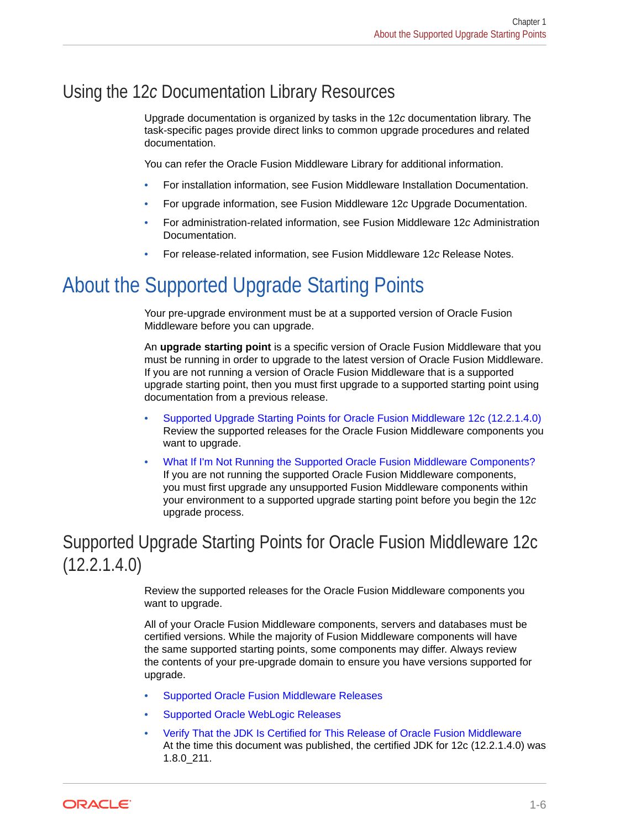## <span id="page-12-0"></span>Using the 12*c* Documentation Library Resources

Upgrade documentation is organized by tasks in the 12*c* documentation library. The task-specific pages provide direct links to common upgrade procedures and related documentation.

You can refer the Oracle Fusion Middleware Library for additional information.

- For installation information, see Fusion Middleware Installation Documentation.
- For upgrade information, see Fusion Middleware 12*c* Upgrade Documentation.
- For administration-related information, see Fusion Middleware 12*c* Administration Documentation.
- For release-related information, see Fusion Middleware 12*c* Release Notes.

# About the Supported Upgrade Starting Points

Your pre-upgrade environment must be at a supported version of Oracle Fusion Middleware before you can upgrade.

An **upgrade starting point** is a specific version of Oracle Fusion Middleware that you must be running in order to upgrade to the latest version of Oracle Fusion Middleware. If you are not running a version of Oracle Fusion Middleware that is a supported upgrade starting point, then you must first upgrade to a supported starting point using documentation from a previous release.

- Supported Upgrade Starting Points for Oracle Fusion Middleware 12c (12.2.1.4.0) Review the supported releases for the Oracle Fusion Middleware components you want to upgrade.
- [What If I'm Not Running the Supported Oracle Fusion Middleware Components?](#page-14-0) If you are not running the supported Oracle Fusion Middleware components, you must first upgrade any unsupported Fusion Middleware components within your environment to a supported upgrade starting point before you begin the 12*c* upgrade process.

# Supported Upgrade Starting Points for Oracle Fusion Middleware 12c (12.2.1.4.0)

Review the supported releases for the Oracle Fusion Middleware components you want to upgrade.

All of your Oracle Fusion Middleware components, servers and databases must be certified versions. While the majority of Fusion Middleware components will have the same supported starting points, some components may differ. Always review the contents of your pre-upgrade domain to ensure you have versions supported for upgrade.

- [Supported Oracle Fusion Middleware Releases](#page-13-0)
- [Supported Oracle WebLogic Releases](#page-13-0)
- [Verify That the JDK Is Certified for This Release of Oracle Fusion Middleware](#page-13-0) At the time this document was published, the certified JDK for 12c (12.2.1.4.0) was 1.8.0\_211.

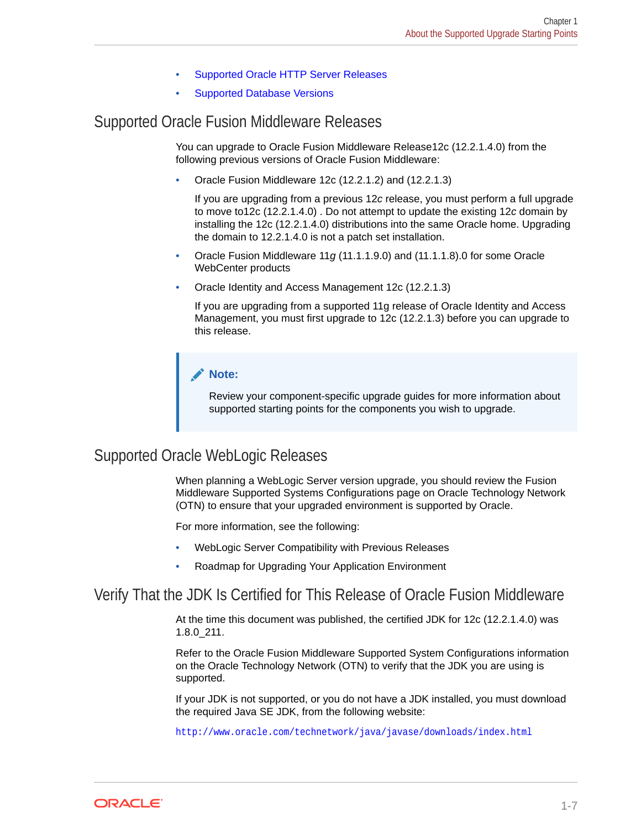- [Supported Oracle HTTP Server Releases](#page-14-0)
- [Supported Database Versions](#page-14-0)

### <span id="page-13-0"></span>Supported Oracle Fusion Middleware Releases

You can upgrade to Oracle Fusion Middleware Release12c (12.2.1.4.0) from the following previous versions of Oracle Fusion Middleware:

• Oracle Fusion Middleware 12c (12.2.1.2) and (12.2.1.3)

If you are upgrading from a previous 12*c* release, you must perform a full upgrade to move to12c (12.2.1.4.0) . Do not attempt to update the existing 12*c* domain by installing the 12c (12.2.1.4.0) distributions into the same Oracle home. Upgrading the domain to 12.2.1.4.0 is not a patch set installation.

- Oracle Fusion Middleware 11*g* (11.1.1.9.0) and (11.1.1.8).0 for some Oracle WebCenter products
- Oracle Identity and Access Management 12c (12.2.1.3)

If you are upgrading from a supported 11g release of Oracle Identity and Access Management, you must first upgrade to 12c (12.2.1.3) before you can upgrade to this release.

#### **Note:**

Review your component-specific upgrade guides for more information about supported starting points for the components you wish to upgrade.

### Supported Oracle WebLogic Releases

When planning a WebLogic Server version upgrade, you should review the Fusion Middleware Supported Systems Configurations page on Oracle Technology Network (OTN) to ensure that your upgraded environment is supported by Oracle.

For more information, see the following:

- WebLogic Server Compatibility with Previous Releases
- Roadmap for Upgrading Your Application Environment

### Verify That the JDK Is Certified for This Release of Oracle Fusion Middleware

At the time this document was published, the certified JDK for 12c (12.2.1.4.0) was 1.8.0\_211.

Refer to the Oracle Fusion Middleware Supported System Configurations information on the Oracle Technology Network (OTN) to verify that the JDK you are using is supported.

If your JDK is not supported, or you do not have a JDK installed, you must download the required Java SE JDK, from the following website:

<http://www.oracle.com/technetwork/java/javase/downloads/index.html>

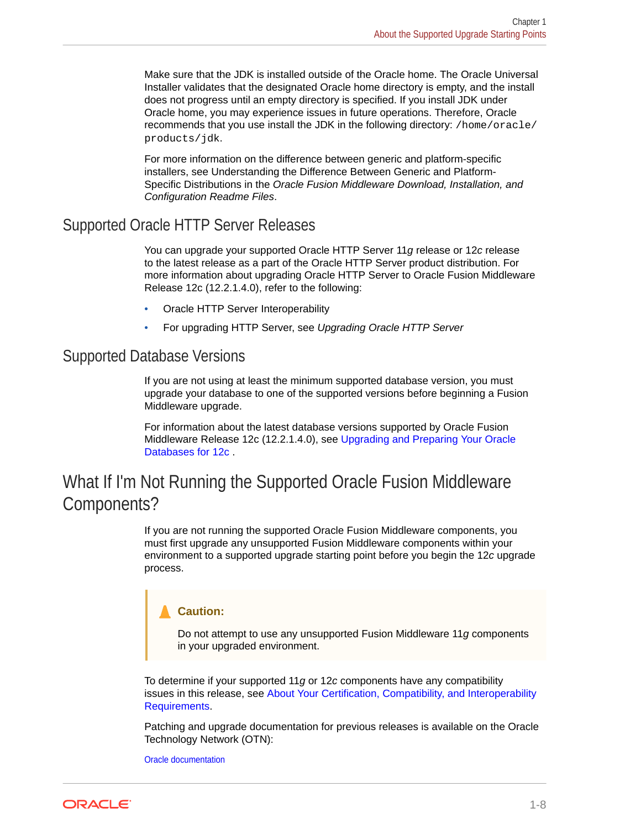<span id="page-14-0"></span>Make sure that the JDK is installed outside of the Oracle home. The Oracle Universal Installer validates that the designated Oracle home directory is empty, and the install does not progress until an empty directory is specified. If you install JDK under Oracle home, you may experience issues in future operations. Therefore, Oracle recommends that you use install the JDK in the following directory: /home/oracle/ products/jdk.

For more information on the difference between generic and platform-specific installers, see Understanding the Difference Between Generic and Platform-Specific Distributions in the *Oracle Fusion Middleware Download, Installation, and Configuration Readme Files*.

### Supported Oracle HTTP Server Releases

You can upgrade your supported Oracle HTTP Server 11*g* release or 12*c* release to the latest release as a part of the Oracle HTTP Server product distribution. For more information about upgrading Oracle HTTP Server to Oracle Fusion Middleware Release 12c (12.2.1.4.0), refer to the following:

- Oracle HTTP Server Interoperability
- For upgrading HTTP Server, see *Upgrading Oracle HTTP Server*

### Supported Database Versions

If you are not using at least the minimum supported database version, you must upgrade your database to one of the supported versions before beginning a Fusion Middleware upgrade.

For information about the latest database versions supported by Oracle Fusion Middleware Release 12c (12.2.1.4.0), see [Upgrading and Preparing Your Oracle](#page-33-0) [Databases for 12c .](#page-33-0)

## What If I'm Not Running the Supported Oracle Fusion Middleware Components?

If you are not running the supported Oracle Fusion Middleware components, you must first upgrade any unsupported Fusion Middleware components within your environment to a supported upgrade starting point before you begin the 12*c* upgrade process.

#### **Caution:**

Do not attempt to use any unsupported Fusion Middleware 11*g* components in your upgraded environment.

To determine if your supported 11*g* or 12*c* components have any compatibility issues in this release, see [About Your Certification, Compatibility, and Interoperability](#page-21-0) [Requirements](#page-21-0).

Patching and upgrade documentation for previous releases is available on the Oracle Technology Network (OTN):

[Oracle documentation](https://docs.oracle.com/en/middleware/fusion-middleware/index.html)

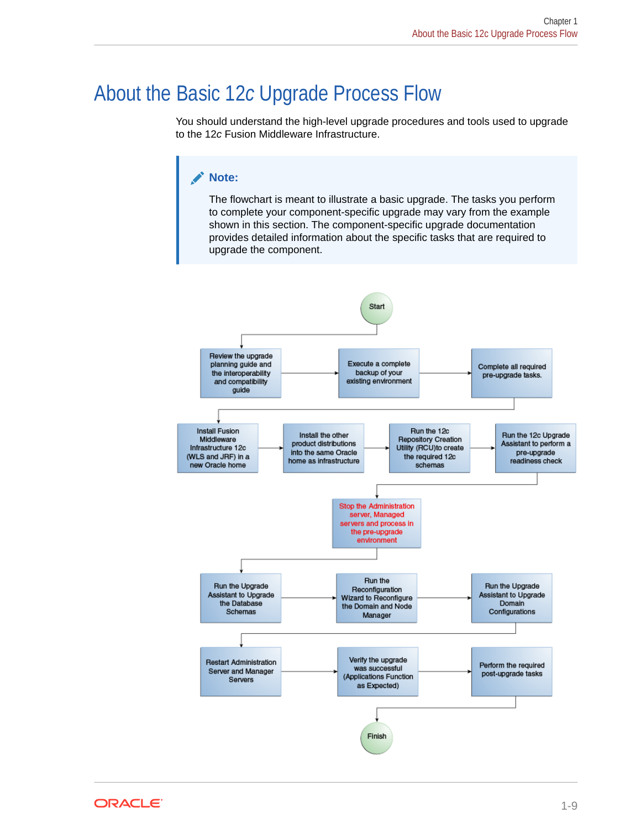# <span id="page-15-0"></span>About the Basic 12*c* Upgrade Process Flow

You should understand the high-level upgrade procedures and tools used to upgrade to the 12*c* Fusion Middleware Infrastructure.

### **Note:**

The flowchart is meant to illustrate a basic upgrade. The tasks you perform to complete your component-specific upgrade may vary from the example shown in this section. The component-specific upgrade documentation provides detailed information about the specific tasks that are required to upgrade the component.



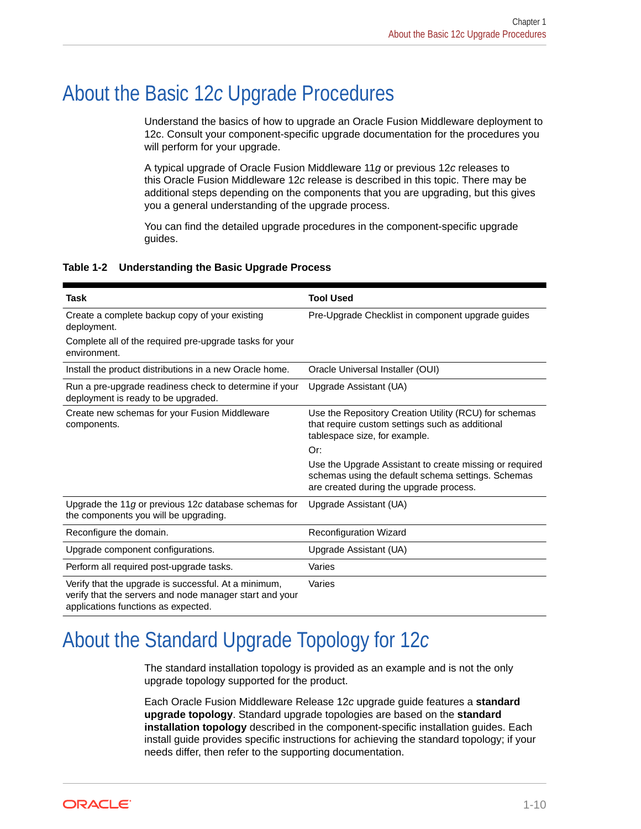# <span id="page-16-0"></span>About the Basic 12*c* Upgrade Procedures

Understand the basics of how to upgrade an Oracle Fusion Middleware deployment to 12c. Consult your component-specific upgrade documentation for the procedures you will perform for your upgrade.

A typical upgrade of Oracle Fusion Middleware 11*g* or previous 12*c* releases to this Oracle Fusion Middleware 12*c* release is described in this topic. There may be additional steps depending on the components that you are upgrading, but this gives you a general understanding of the upgrade process.

You can find the detailed upgrade procedures in the component-specific upgrade guides.

#### **Table 1-2 Understanding the Basic Upgrade Process**

| <b>Task</b>                                                                                                                                            | <b>Tool Used</b>                                                                                                                                         |
|--------------------------------------------------------------------------------------------------------------------------------------------------------|----------------------------------------------------------------------------------------------------------------------------------------------------------|
| Create a complete backup copy of your existing<br>deployment.                                                                                          | Pre-Upgrade Checklist in component upgrade guides                                                                                                        |
| Complete all of the required pre-upgrade tasks for your<br>environment.                                                                                |                                                                                                                                                          |
| Install the product distributions in a new Oracle home.                                                                                                | Oracle Universal Installer (OUI)                                                                                                                         |
| Run a pre-upgrade readiness check to determine if your<br>deployment is ready to be upgraded.                                                          | Upgrade Assistant (UA)                                                                                                                                   |
| Create new schemas for your Fusion Middleware<br>components.                                                                                           | Use the Repository Creation Utility (RCU) for schemas<br>that require custom settings such as additional<br>tablespace size, for example.<br>Or:         |
|                                                                                                                                                        | Use the Upgrade Assistant to create missing or required<br>schemas using the default schema settings. Schemas<br>are created during the upgrade process. |
| Upgrade the 11 $g$ or previous 12 $c$ database schemas for<br>the components you will be upgrading.                                                    | Upgrade Assistant (UA)                                                                                                                                   |
| Reconfigure the domain.                                                                                                                                | <b>Reconfiguration Wizard</b>                                                                                                                            |
| Upgrade component configurations.                                                                                                                      | Upgrade Assistant (UA)                                                                                                                                   |
| Perform all required post-upgrade tasks.                                                                                                               | Varies                                                                                                                                                   |
| Verify that the upgrade is successful. At a minimum,<br>verify that the servers and node manager start and your<br>applications functions as expected. | Varies                                                                                                                                                   |

# About the Standard Upgrade Topology for 12*c*

The standard installation topology is provided as an example and is not the only upgrade topology supported for the product.

Each Oracle Fusion Middleware Release 12*c* upgrade guide features a **standard upgrade topology**. Standard upgrade topologies are based on the **standard installation topology** described in the component-specific installation guides. Each install guide provides specific instructions for achieving the standard topology; if your needs differ, then refer to the supporting documentation.

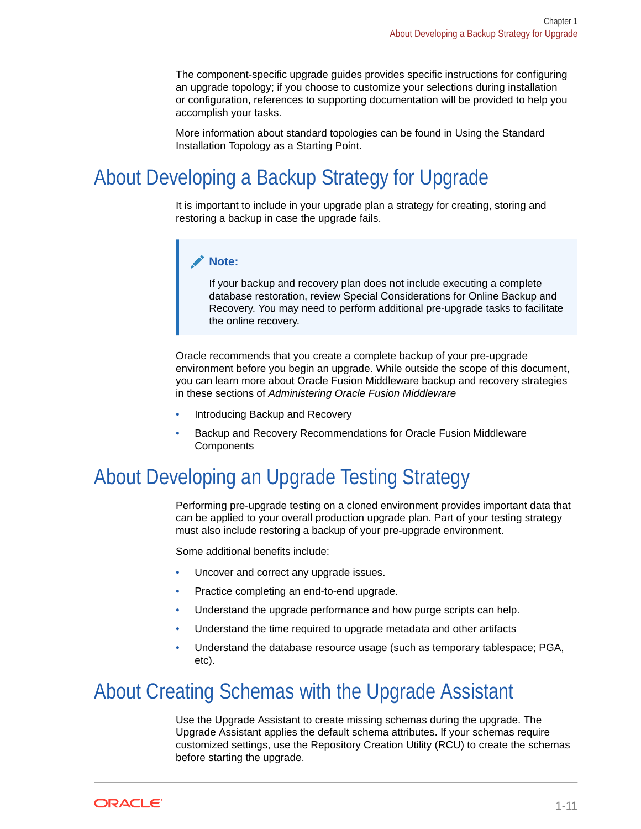<span id="page-17-0"></span>The component-specific upgrade guides provides specific instructions for configuring an upgrade topology; if you choose to customize your selections during installation or configuration, references to supporting documentation will be provided to help you accomplish your tasks.

More information about standard topologies can be found in Using the Standard Installation Topology as a Starting Point.

# About Developing a Backup Strategy for Upgrade

It is important to include in your upgrade plan a strategy for creating, storing and restoring a backup in case the upgrade fails.

#### **Note:**

If your backup and recovery plan does not include executing a complete database restoration, review Special Considerations for Online Backup and Recovery. You may need to perform additional pre-upgrade tasks to facilitate the online recovery.

Oracle recommends that you create a complete backup of your pre-upgrade environment before you begin an upgrade. While outside the scope of this document, you can learn more about Oracle Fusion Middleware backup and recovery strategies in these sections of *Administering Oracle Fusion Middleware*

- Introducing Backup and Recovery
- Backup and Recovery Recommendations for Oracle Fusion Middleware **Components**

# About Developing an Upgrade Testing Strategy

Performing pre-upgrade testing on a cloned environment provides important data that can be applied to your overall production upgrade plan. Part of your testing strategy must also include restoring a backup of your pre-upgrade environment.

Some additional benefits include:

- Uncover and correct any upgrade issues.
- Practice completing an end-to-end upgrade.
- Understand the upgrade performance and how purge scripts can help.
- Understand the time required to upgrade metadata and other artifacts
- Understand the database resource usage (such as temporary tablespace; PGA, etc).

# About Creating Schemas with the Upgrade Assistant

Use the Upgrade Assistant to create missing schemas during the upgrade. The Upgrade Assistant applies the default schema attributes. If your schemas require customized settings, use the Repository Creation Utility (RCU) to create the schemas before starting the upgrade.

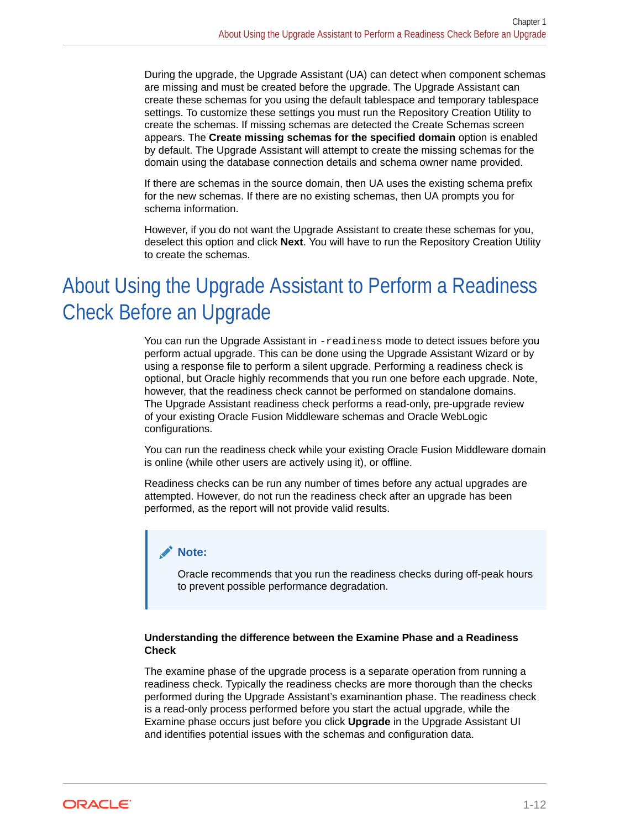<span id="page-18-0"></span>During the upgrade, the Upgrade Assistant (UA) can detect when component schemas are missing and must be created before the upgrade. The Upgrade Assistant can create these schemas for you using the default tablespace and temporary tablespace settings. To customize these settings you must run the Repository Creation Utility to create the schemas. If missing schemas are detected the Create Schemas screen appears. The **Create missing schemas for the specified domain** option is enabled by default. The Upgrade Assistant will attempt to create the missing schemas for the domain using the database connection details and schema owner name provided.

If there are schemas in the source domain, then UA uses the existing schema prefix for the new schemas. If there are no existing schemas, then UA prompts you for schema information.

However, if you do not want the Upgrade Assistant to create these schemas for you, deselect this option and click **Next**. You will have to run the Repository Creation Utility to create the schemas.

# About Using the Upgrade Assistant to Perform a Readiness Check Before an Upgrade

You can run the Upgrade Assistant in -readiness mode to detect issues before you perform actual upgrade. This can be done using the Upgrade Assistant Wizard or by using a response file to perform a silent upgrade. Performing a readiness check is optional, but Oracle highly recommends that you run one before each upgrade. Note, however, that the readiness check cannot be performed on standalone domains. The Upgrade Assistant readiness check performs a read-only, pre-upgrade review of your existing Oracle Fusion Middleware schemas and Oracle WebLogic configurations.

You can run the readiness check while your existing Oracle Fusion Middleware domain is online (while other users are actively using it), or offline.

Readiness checks can be run any number of times before any actual upgrades are attempted. However, do not run the readiness check after an upgrade has been performed, as the report will not provide valid results.

#### **Note:**

Oracle recommends that you run the readiness checks during off-peak hours to prevent possible performance degradation.

#### **Understanding the difference between the Examine Phase and a Readiness Check**

The examine phase of the upgrade process is a separate operation from running a readiness check. Typically the readiness checks are more thorough than the checks performed during the Upgrade Assistant's examinantion phase. The readiness check is a read-only process performed before you start the actual upgrade, while the Examine phase occurs just before you click **Upgrade** in the Upgrade Assistant UI and identifies potential issues with the schemas and configuration data.

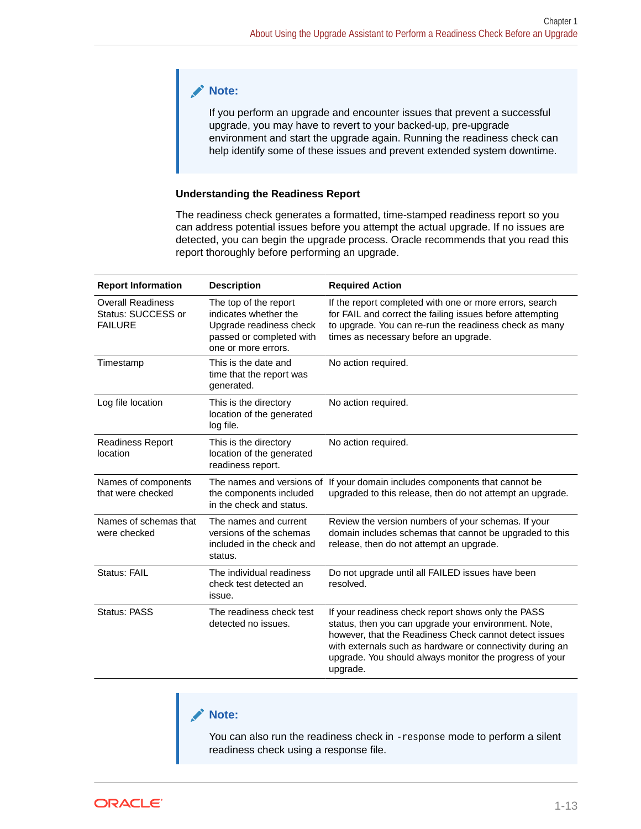#### **Note:**

If you perform an upgrade and encounter issues that prevent a successful upgrade, you may have to revert to your backed-up, pre-upgrade environment and start the upgrade again. Running the readiness check can help identify some of these issues and prevent extended system downtime.

#### **Understanding the Readiness Report**

The readiness check generates a formatted, time-stamped readiness report so you can address potential issues before you attempt the actual upgrade. If no issues are detected, you can begin the upgrade process. Oracle recommends that you read this report thoroughly before performing an upgrade.

| <b>Report Information</b>                                                           | <b>Description</b>                                                                                                           | <b>Required Action</b>                                                                                                                                                                                                                                                                                   |
|-------------------------------------------------------------------------------------|------------------------------------------------------------------------------------------------------------------------------|----------------------------------------------------------------------------------------------------------------------------------------------------------------------------------------------------------------------------------------------------------------------------------------------------------|
| <b>Overall Readiness</b><br>Status: SUCCESS or<br><b>FAILURE</b>                    | The top of the report<br>indicates whether the<br>Upgrade readiness check<br>passed or completed with<br>one or more errors. | If the report completed with one or more errors, search<br>for FAIL and correct the failing issues before attempting<br>to upgrade. You can re-run the readiness check as many<br>times as necessary before an upgrade.                                                                                  |
| Timestamp                                                                           | This is the date and<br>time that the report was<br>generated.                                                               | No action required.                                                                                                                                                                                                                                                                                      |
| Log file location                                                                   | This is the directory<br>location of the generated<br>log file.                                                              | No action required.                                                                                                                                                                                                                                                                                      |
| <b>Readiness Report</b><br>location                                                 | This is the directory<br>location of the generated<br>readiness report.                                                      | No action required.                                                                                                                                                                                                                                                                                      |
| Names of components<br>that were checked                                            | The names and versions of<br>the components included<br>in the check and status.                                             | If your domain includes components that cannot be<br>upgraded to this release, then do not attempt an upgrade.                                                                                                                                                                                           |
| Names of schemas that<br>were checked                                               | The names and current<br>versions of the schemas<br>included in the check and<br>status.                                     | Review the version numbers of your schemas. If your<br>domain includes schemas that cannot be upgraded to this<br>release, then do not attempt an upgrade.                                                                                                                                               |
| <b>Status: FAIL</b><br>The individual readiness<br>check test detected an<br>issue. |                                                                                                                              | Do not upgrade until all FAILED issues have been<br>resolved.                                                                                                                                                                                                                                            |
| <b>Status: PASS</b><br>The readiness check test<br>detected no issues.              |                                                                                                                              | If your readiness check report shows only the PASS<br>status, then you can upgrade your environment. Note,<br>however, that the Readiness Check cannot detect issues<br>with externals such as hardware or connectivity during an<br>upgrade. You should always monitor the progress of your<br>upgrade. |

#### **Note:**

You can also run the readiness check in -response mode to perform a silent readiness check using a response file.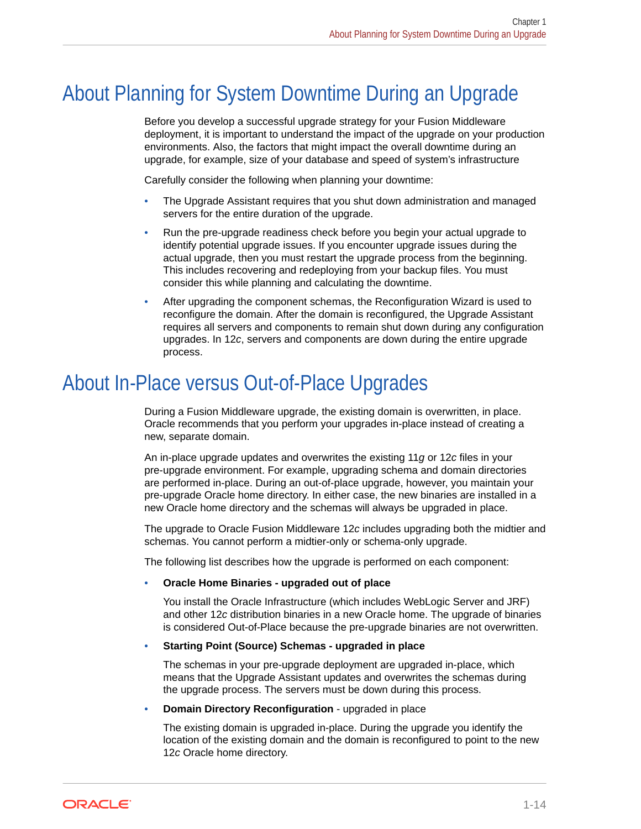# <span id="page-20-0"></span>About Planning for System Downtime During an Upgrade

Before you develop a successful upgrade strategy for your Fusion Middleware deployment, it is important to understand the impact of the upgrade on your production environments. Also, the factors that might impact the overall downtime during an upgrade, for example, size of your database and speed of system's infrastructure

Carefully consider the following when planning your downtime:

- The Upgrade Assistant requires that you shut down administration and managed servers for the entire duration of the upgrade.
- Run the pre-upgrade readiness check before you begin your actual upgrade to identify potential upgrade issues. If you encounter upgrade issues during the actual upgrade, then you must restart the upgrade process from the beginning. This includes recovering and redeploying from your backup files. You must consider this while planning and calculating the downtime.
- After upgrading the component schemas, the Reconfiguration Wizard is used to reconfigure the domain. After the domain is reconfigured, the Upgrade Assistant requires all servers and components to remain shut down during any configuration upgrades. In 12*c*, servers and components are down during the entire upgrade process.

# About In-Place versus Out-of-Place Upgrades

During a Fusion Middleware upgrade, the existing domain is overwritten, in place. Oracle recommends that you perform your upgrades in-place instead of creating a new, separate domain.

An in-place upgrade updates and overwrites the existing 11*g* or 12*c* files in your pre-upgrade environment. For example, upgrading schema and domain directories are performed in-place. During an out-of-place upgrade, however, you maintain your pre-upgrade Oracle home directory. In either case, the new binaries are installed in a new Oracle home directory and the schemas will always be upgraded in place.

The upgrade to Oracle Fusion Middleware 12*c* includes upgrading both the midtier and schemas. You cannot perform a midtier-only or schema-only upgrade.

The following list describes how the upgrade is performed on each component:

#### • **Oracle Home Binaries - upgraded out of place**

You install the Oracle Infrastructure (which includes WebLogic Server and JRF) and other 12*c* distribution binaries in a new Oracle home. The upgrade of binaries is considered Out-of-Place because the pre-upgrade binaries are not overwritten.

#### • **Starting Point (Source) Schemas - upgraded in place**

The schemas in your pre-upgrade deployment are upgraded in-place, which means that the Upgrade Assistant updates and overwrites the schemas during the upgrade process. The servers must be down during this process.

• **Domain Directory Reconfiguration** - upgraded in place

The existing domain is upgraded in-place. During the upgrade you identify the location of the existing domain and the domain is reconfigured to point to the new 12*c* Oracle home directory.

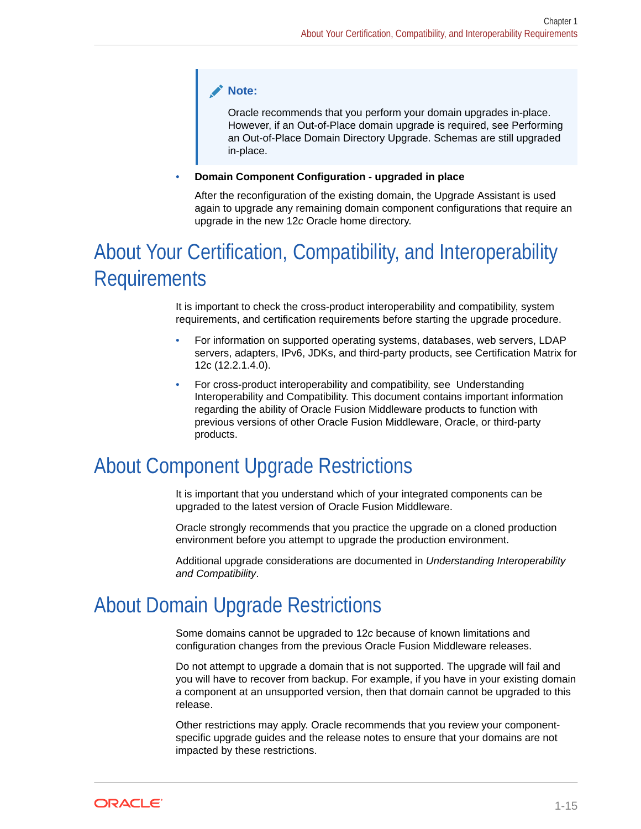#### <span id="page-21-0"></span>**Note:**

Oracle recommends that you perform your domain upgrades in-place. However, if an Out-of-Place domain upgrade is required, see Performing an Out-of-Place Domain Directory Upgrade. Schemas are still upgraded in-place.

#### • **Domain Component Configuration - upgraded in place**

After the reconfiguration of the existing domain, the Upgrade Assistant is used again to upgrade any remaining domain component configurations that require an upgrade in the new 12*c* Oracle home directory.

# About Your Certification, Compatibility, and Interoperability **Requirements**

It is important to check the cross-product interoperability and compatibility, system requirements, and certification requirements before starting the upgrade procedure.

- For information on supported operating systems, databases, web servers, LDAP servers, adapters, IPv6, JDKs, and third-party products, see Certification Matrix for 12c (12.2.1.4.0).
- For cross-product interoperability and compatibility, see Understanding Interoperability and Compatibility. This document contains important information regarding the ability of Oracle Fusion Middleware products to function with previous versions of other Oracle Fusion Middleware, Oracle, or third-party products.

# About Component Upgrade Restrictions

It is important that you understand which of your integrated components can be upgraded to the latest version of Oracle Fusion Middleware.

Oracle strongly recommends that you practice the upgrade on a cloned production environment before you attempt to upgrade the production environment.

Additional upgrade considerations are documented in *Understanding Interoperability and Compatibility*.

# About Domain Upgrade Restrictions

Some domains cannot be upgraded to 12*c* because of known limitations and configuration changes from the previous Oracle Fusion Middleware releases.

Do not attempt to upgrade a domain that is not supported. The upgrade will fail and you will have to recover from backup. For example, if you have in your existing domain a component at an unsupported version, then that domain cannot be upgraded to this release.

Other restrictions may apply. Oracle recommends that you review your componentspecific upgrade guides and the release notes to ensure that your domains are not impacted by these restrictions.

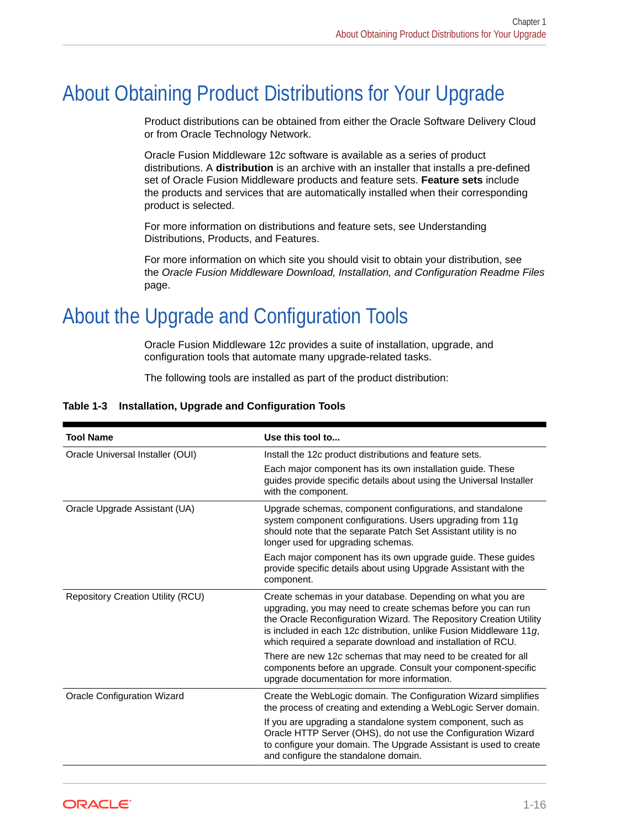# <span id="page-22-0"></span>About Obtaining Product Distributions for Your Upgrade

Product distributions can be obtained from either the Oracle Software Delivery Cloud or from Oracle Technology Network.

Oracle Fusion Middleware 12*c* software is available as a series of product distributions. A **distribution** is an archive with an installer that installs a pre-defined set of Oracle Fusion Middleware products and feature sets. **Feature sets** include the products and services that are automatically installed when their corresponding product is selected.

For more information on distributions and feature sets, see Understanding Distributions, Products, and Features.

For more information on which site you should visit to obtain your distribution, see the *Oracle Fusion Middleware Download, Installation, and Configuration Readme Files* page.

# About the Upgrade and Configuration Tools

Oracle Fusion Middleware 12*c* provides a suite of installation, upgrade, and configuration tools that automate many upgrade-related tasks.

The following tools are installed as part of the product distribution:

| <b>Tool Name</b>                         | Use this tool to                                                                                                                                                                                                                                                                                                                       |
|------------------------------------------|----------------------------------------------------------------------------------------------------------------------------------------------------------------------------------------------------------------------------------------------------------------------------------------------------------------------------------------|
| Oracle Universal Installer (OUI)         | Install the 12c product distributions and feature sets.                                                                                                                                                                                                                                                                                |
|                                          | Each major component has its own installation guide. These<br>guides provide specific details about using the Universal Installer<br>with the component.                                                                                                                                                                               |
| Oracle Upgrade Assistant (UA)            | Upgrade schemas, component configurations, and standalone<br>system component configurations. Users upgrading from 11g<br>should note that the separate Patch Set Assistant utility is no<br>longer used for upgrading schemas.                                                                                                        |
|                                          | Each major component has its own upgrade guide. These guides<br>provide specific details about using Upgrade Assistant with the<br>component.                                                                                                                                                                                          |
| <b>Repository Creation Utility (RCU)</b> | Create schemas in your database. Depending on what you are<br>upgrading, you may need to create schemas before you can run<br>the Oracle Reconfiguration Wizard. The Repository Creation Utility<br>is included in each 12c distribution, unlike Fusion Middleware 11g,<br>which required a separate download and installation of RCU. |
|                                          | There are new 12c schemas that may need to be created for all<br>components before an upgrade. Consult your component-specific<br>upgrade documentation for more information.                                                                                                                                                          |
| <b>Oracle Configuration Wizard</b>       | Create the WebLogic domain. The Configuration Wizard simplifies<br>the process of creating and extending a WebLogic Server domain.                                                                                                                                                                                                     |
|                                          | If you are upgrading a standalone system component, such as<br>Oracle HTTP Server (OHS), do not use the Configuration Wizard<br>to configure your domain. The Upgrade Assistant is used to create<br>and configure the standalone domain.                                                                                              |

#### **Table 1-3 Installation, Upgrade and Configuration Tools**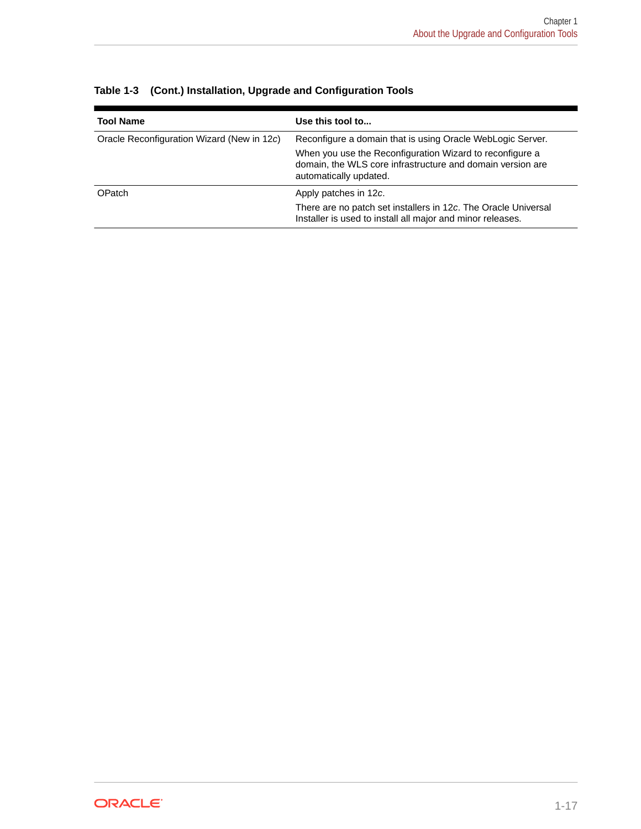| <b>Tool Name</b>                           | Use this tool to                                                                                                                                 |
|--------------------------------------------|--------------------------------------------------------------------------------------------------------------------------------------------------|
| Oracle Reconfiguration Wizard (New in 12c) | Reconfigure a domain that is using Oracle WebLogic Server.                                                                                       |
|                                            | When you use the Reconfiguration Wizard to reconfigure a<br>domain, the WLS core infrastructure and domain version are<br>automatically updated. |
| <b>OPatch</b>                              | Apply patches in 12c.                                                                                                                            |
|                                            | There are no patch set installers in 12c. The Oracle Universal<br>Installer is used to install all major and minor releases.                     |

| Table 1-3 (Cont.) Installation, Upgrade and Configuration Tools |
|-----------------------------------------------------------------|
|-----------------------------------------------------------------|

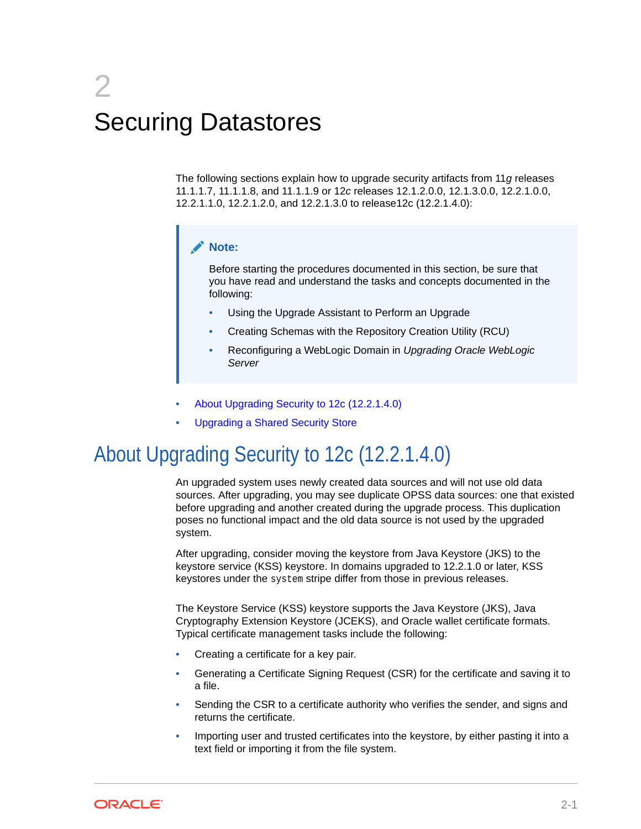# <span id="page-24-0"></span> $\boldsymbol{\mathcal{P}}$ Securing Datastores

The following sections explain how to upgrade security artifacts from 11*g* releases 11.1.1.7, 11.1.1.8, and 11.1.1.9 or 12*c* releases 12.1.2.0.0, 12.1.3.0.0, 12.2.1.0.0, 12.2.1.1.0, 12.2.1.2.0, and 12.2.1.3.0 to release12c (12.2.1.4.0):

#### **Note:**

Before starting the procedures documented in this section, be sure that you have read and understand the tasks and concepts documented in the following:

- Using the Upgrade Assistant to Perform an Upgrade
- Creating Schemas with the Repository Creation Utility (RCU)
- Reconfiguring a WebLogic Domain in *Upgrading Oracle WebLogic Server*
- About Upgrading Security to 12c (12.2.1.4.0)
- [Upgrading a Shared Security Store](#page-31-0)

# About Upgrading Security to 12c (12.2.1.4.0)

An upgraded system uses newly created data sources and will not use old data sources. After upgrading, you may see duplicate OPSS data sources: one that existed before upgrading and another created during the upgrade process. This duplication poses no functional impact and the old data source is not used by the upgraded system.

After upgrading, consider moving the keystore from Java Keystore (JKS) to the keystore service (KSS) keystore. In domains upgraded to 12.2.1.0 or later, KSS keystores under the system stripe differ from those in previous releases.

The Keystore Service (KSS) keystore supports the Java Keystore (JKS), Java Cryptography Extension Keystore (JCEKS), and Oracle wallet certificate formats. Typical certificate management tasks include the following:

- Creating a certificate for a key pair.
- Generating a Certificate Signing Request (CSR) for the certificate and saving it to a file.
- Sending the CSR to a certificate authority who verifies the sender, and signs and returns the certificate.
- Importing user and trusted certificates into the keystore, by either pasting it into a text field or importing it from the file system.

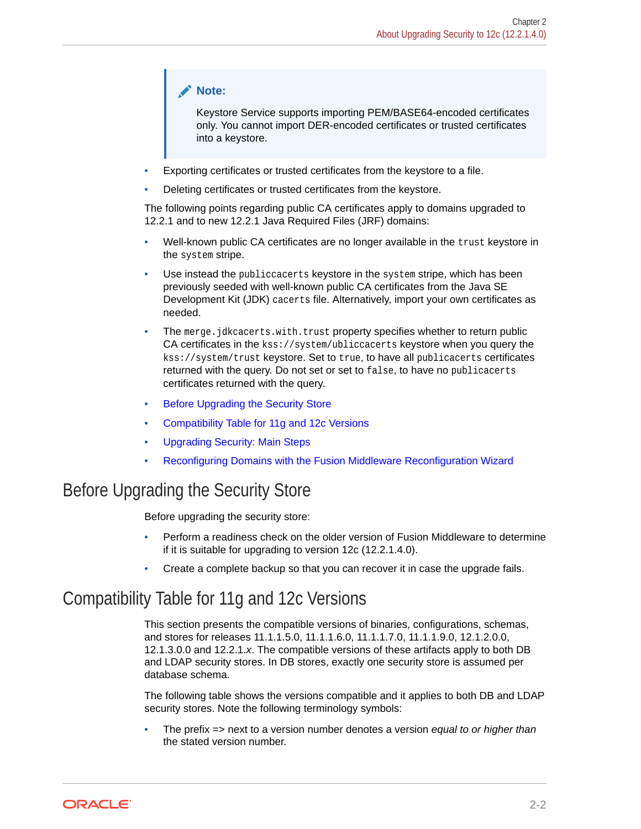#### <span id="page-25-0"></span>**Note:**

Keystore Service supports importing PEM/BASE64-encoded certificates only. You cannot import DER-encoded certificates or trusted certificates into a keystore.

- Exporting certificates or trusted certificates from the keystore to a file.
- Deleting certificates or trusted certificates from the keystore.

The following points regarding public CA certificates apply to domains upgraded to 12.2.1 and to new 12.2.1 Java Required Files (JRF) domains:

- Well-known public CA certificates are no longer available in the trust keystore in the system stripe.
- Use instead the publiccacerts keystore in the system stripe, which has been previously seeded with well-known public CA certificates from the Java SE Development Kit (JDK) cacerts file. Alternatively, import your own certificates as needed.
- The merge.jdkcacerts.with.trust property specifies whether to return public CA certificates in the kss://system/ubliccacerts keystore when you query the kss://system/trust keystore. Set to true, to have all publicacerts certificates returned with the query. Do not set or set to false, to have no publicacerts certificates returned with the query.
- **Before Upgrading the Security Store**
- Compatibility Table for 11g and 12c Versions
- [Upgrading Security: Main Steps](#page-26-0)
- [Reconfiguring Domains with the Fusion Middleware Reconfiguration Wizard](#page-30-0)

### Before Upgrading the Security Store

Before upgrading the security store:

- Perform a readiness check on the older version of Fusion Middleware to determine if it is suitable for upgrading to version 12c (12.2.1.4.0).
- Create a complete backup so that you can recover it in case the upgrade fails.

### Compatibility Table for 11g and 12c Versions

This section presents the compatible versions of binaries, configurations, schemas, and stores for releases 11.1.1.5.0, 11.1.1.6.0, 11.1.1.7.0, 11.1.1.9.0, 12.1.2.0.0, 12.1.3.0.0 and 12.2.1.*x*. The compatible versions of these artifacts apply to both DB and LDAP security stores. In DB stores, exactly one security store is assumed per database schema.

The following table shows the versions compatible and it applies to both DB and LDAP security stores. Note the following terminology symbols:

• The prefix => next to a version number denotes a version *equal to or higher than* the stated version number.

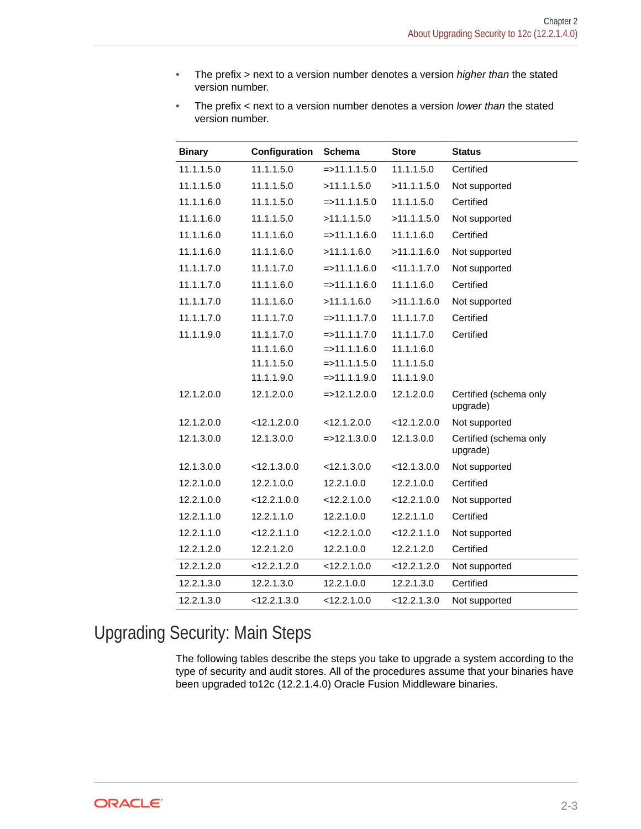<span id="page-26-0"></span>• The prefix > next to a version number denotes a version *higher than* the stated version number.

| The prefix $\le$ next to a version number denotes a version lower than the stated |
|-----------------------------------------------------------------------------------|
| version number.                                                                   |

| <b>Binary</b> | Configuration  | <b>Schema</b>    | <b>Store</b>   | <b>Status</b>                      |
|---------------|----------------|------------------|----------------|------------------------------------|
| 11.1.1.5.0    | 11.1.1.5.0     | $=$ > 11.1.1.5.0 | 11.1.1.5.0     | Certified                          |
| 11.1.1.5.0    | 11.1.1.5.0     | >11.1.1.5.0      | >11.1.1.5.0    | Not supported                      |
| 11.1.1.6.0    | 11.1.1.5.0     | $=$ > 11.1.1.5.0 | 11.1.1.5.0     | Certified                          |
| 11.1.1.6.0    | 11.1.1.5.0     | >11.1.1.5.0      | >11.1.1.5.0    | Not supported                      |
| 11.1.1.6.0    | 11.1.1.6.0     | $=$ > 11.1.1.6.0 | 11.1.1.6.0     | Certified                          |
| 11.1.1.6.0    | 11.1.1.6.0     | >11.1.1.6.0      | >11.1.1.6.0    | Not supported                      |
| 11.1.1.7.0    | 11.1.1.7.0     | $=$ > 11.1.1.6.0 | < 11.1.1.7.0   | Not supported                      |
| 11.1.1.7.0    | 11.1.1.6.0     | $=$ > 11.1.1.6.0 | 11.1.1.6.0     | Certified                          |
| 11.1.1.7.0    | 11.1.1.6.0     | >11.1.1.6.0      | >11.1.1.6.0    | Not supported                      |
| 11.1.1.7.0    | 11.1.1.7.0     | $=$ > 11.1.1.7.0 | 11.1.1.7.0     | Certified                          |
| 11.1.1.9.0    | 11.1.1.7.0     | $=$ > 11.1.1.7.0 | 11.1.1.7.0     | Certified                          |
|               | 11.1.1.6.0     | $=$ > 11.1.1.6.0 | 11.1.1.6.0     |                                    |
|               | 11.1.1.5.0     | $=$ > 11.1.1.5.0 | 11.1.1.5.0     |                                    |
|               | 11.1.1.9.0     | $=$ > 11.1.1.9.0 | 11.1.1.9.0     |                                    |
| 12.1.2.0.0    | 12.1.2.0.0     | $=$ >12.1.2.0.0  | 12.1.2.0.0     | Certified (schema only<br>upgrade) |
| 12.1.2.0.0    | < 12.1.2.0.0   | < 12.1.2.0.0     | $<$ 12.1.2.0.0 | Not supported                      |
| 12.1.3.0.0    | 12.1.3.0.0     | $=$ > 12.1.3.0.0 | 12.1.3.0.0     | Certified (schema only<br>upgrade) |
| 12.1.3.0.0    | < 12.1.3.0.0   | < 12.1.3.0.0     | < 12.1.3.0.0   | Not supported                      |
| 12.2.1.0.0    | 12.2.1.0.0     | 12.2.1.0.0       | 12.2.1.0.0     | Certified                          |
| 12.2.1.0.0    | $<$ 12.2.1.0.0 | $<$ 12.2.1.0.0   | $<$ 12.2.1.0.0 | Not supported                      |
| 12.2.1.1.0    | 12.2.1.1.0     | 12.2.1.0.0       | 12.2.1.1.0     | Certified                          |
| 12.2.1.1.0    | < 12.2.1.1.0   | $<$ 12.2.1.0.0   | < 12.2.1.1.0   | Not supported                      |
| 12.2.1.2.0    | 12.2.1.2.0     | 12.2.1.0.0       | 12.2.1.2.0     | Certified                          |
| 12.2.1.2.0    | <12.2.1.2.0    | $<$ 12.2.1.0.0   | <12.2.1.2.0    | Not supported                      |
| 12.2.1.3.0    | 12.2.1.3.0     | 12.2.1.0.0       | 12.2.1.3.0     | Certified                          |
| 12.2.1.3.0    | $<$ 12.2.1.3.0 | $<$ 12.2.1.0.0   | $<$ 12.2.1.3.0 | Not supported                      |

# Upgrading Security: Main Steps

The following tables describe the steps you take to upgrade a system according to the type of security and audit stores. All of the procedures assume that your binaries have been upgraded to12c (12.2.1.4.0) Oracle Fusion Middleware binaries.

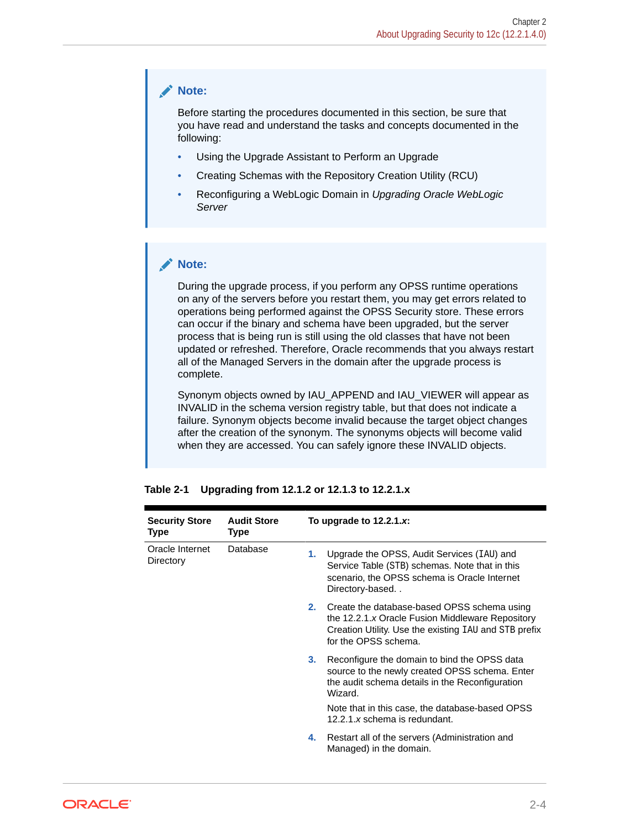#### **Note:**

Before starting the procedures documented in this section, be sure that you have read and understand the tasks and concepts documented in the following:

- Using the Upgrade Assistant to Perform an Upgrade
- Creating Schemas with the Repository Creation Utility (RCU)
- Reconfiguring a WebLogic Domain in *Upgrading Oracle WebLogic Server*

#### **Note:**

During the upgrade process, if you perform any OPSS runtime operations on any of the servers before you restart them, you may get errors related to operations being performed against the OPSS Security store. These errors can occur if the binary and schema have been upgraded, but the server process that is being run is still using the old classes that have not been updated or refreshed. Therefore, Oracle recommends that you always restart all of the Managed Servers in the domain after the upgrade process is complete.

Synonym objects owned by IAU\_APPEND and IAU\_VIEWER will appear as INVALID in the schema version registry table, but that does not indicate a failure. Synonym objects become invalid because the target object changes after the creation of the synonym. The synonyms objects will become valid when they are accessed. You can safely ignore these INVALID objects.

| <b>Security Store</b><br>Type | <b>Audit Store</b><br><b>Type</b> |                | To upgrade to $12.2.1.x$ :                                                                                                                                                       |
|-------------------------------|-----------------------------------|----------------|----------------------------------------------------------------------------------------------------------------------------------------------------------------------------------|
| Oracle Internet<br>Directory  | Database                          | 1.             | Upgrade the OPSS, Audit Services (IAU) and<br>Service Table (STB) schemas. Note that in this<br>scenario, the OPSS schema is Oracle Internet<br>Directory-based                  |
|                               |                                   | 2.             | Create the database-based OPSS schema using<br>the 12.2.1.x Oracle Fusion Middleware Repository<br>Creation Utility. Use the existing IAU and STB prefix<br>for the OPSS schema. |
|                               |                                   | 3 <sub>1</sub> | Reconfigure the domain to bind the OPSS data<br>source to the newly created OPSS schema. Enter<br>the audit schema details in the Reconfiguration<br>Wizard.                     |
|                               |                                   |                | Note that in this case, the database-based OPSS<br>12.2.1.x schema is redundant.                                                                                                 |
|                               |                                   | 4.             | Restart all of the servers (Administration and<br>Managed) in the domain.                                                                                                        |

**Table 2-1 Upgrading from 12.1.2 or 12.1.3 to 12.2.1.x**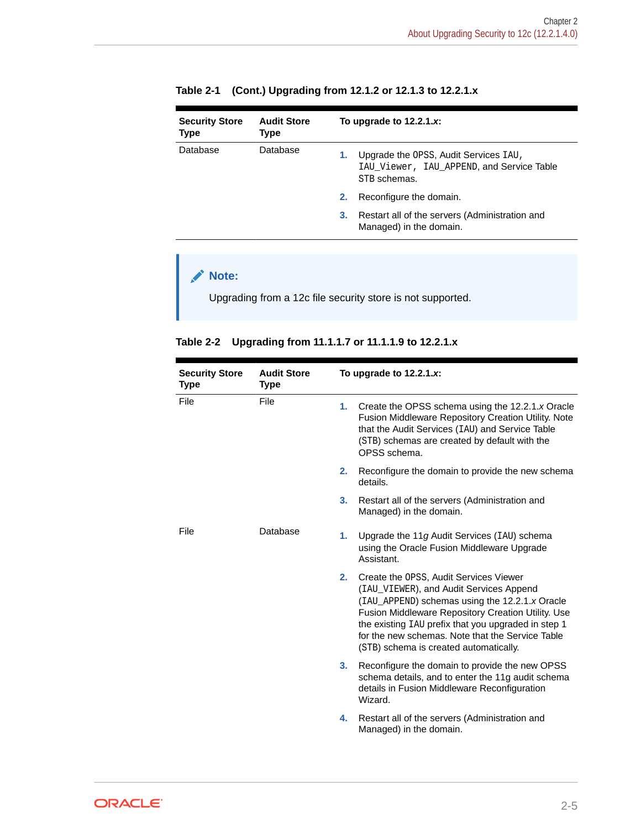| <b>Security Store</b><br><b>Type</b> | <b>Audit Store</b><br>Type | To upgrade to $12.2.1.x$ : |                                                                                                    |
|--------------------------------------|----------------------------|----------------------------|----------------------------------------------------------------------------------------------------|
| Database                             | Database                   | 1.                         | Upgrade the OPSS, Audit Services IAU,<br>IAU Viewer, IAU APPEND, and Service Table<br>STB schemas. |
|                                      |                            | 2.                         | Reconfigure the domain.                                                                            |
|                                      |                            | З.                         | Restart all of the servers (Administration and<br>Managed) in the domain.                          |

#### **Table 2-1 (Cont.) Upgrading from 12.1.2 or 12.1.3 to 12.2.1.x**

#### **Note:**

Upgrading from a 12c file security store is not supported.

#### **Table 2-2 Upgrading from 11.1.1.7 or 11.1.1.9 to 12.2.1.x**

| <b>Security Store</b><br><b>Type</b> | <b>Audit Store</b><br><b>Type</b> | To upgrade to $12.2.1.x$ :                                                                              |                                                                                                                                                                                                                                                                                                                                                       |
|--------------------------------------|-----------------------------------|---------------------------------------------------------------------------------------------------------|-------------------------------------------------------------------------------------------------------------------------------------------------------------------------------------------------------------------------------------------------------------------------------------------------------------------------------------------------------|
| File                                 | File                              | 1.                                                                                                      | Create the OPSS schema using the 12.2.1.x Oracle<br>Fusion Middleware Repository Creation Utility. Note<br>that the Audit Services (IAU) and Service Table<br>(STB) schemas are created by default with the<br>OPSS schema.                                                                                                                           |
|                                      |                                   | 2.                                                                                                      | Reconfigure the domain to provide the new schema<br>details.                                                                                                                                                                                                                                                                                          |
|                                      |                                   | 3.                                                                                                      | Restart all of the servers (Administration and<br>Managed) in the domain.                                                                                                                                                                                                                                                                             |
| File<br>Database                     | 1.                                | Upgrade the 11g Audit Services (IAU) schema<br>using the Oracle Fusion Middleware Upgrade<br>Assistant. |                                                                                                                                                                                                                                                                                                                                                       |
|                                      |                                   | 2.                                                                                                      | Create the OPSS, Audit Services Viewer<br>(IAU_VIEWER), and Audit Services Append<br>(IAU APPEND) schemas using the 12.2.1.x Oracle<br><b>Fusion Middleware Repository Creation Utility. Use</b><br>the existing IAU prefix that you upgraded in step 1<br>for the new schemas. Note that the Service Table<br>(STB) schema is created automatically. |
|                                      |                                   | 3 <sub>1</sub>                                                                                          | Reconfigure the domain to provide the new OPSS<br>schema details, and to enter the 11g audit schema<br>details in Fusion Middleware Reconfiguration<br>Wizard.                                                                                                                                                                                        |
|                                      |                                   | 4.                                                                                                      | Restart all of the servers (Administration and<br>Managed) in the domain.                                                                                                                                                                                                                                                                             |

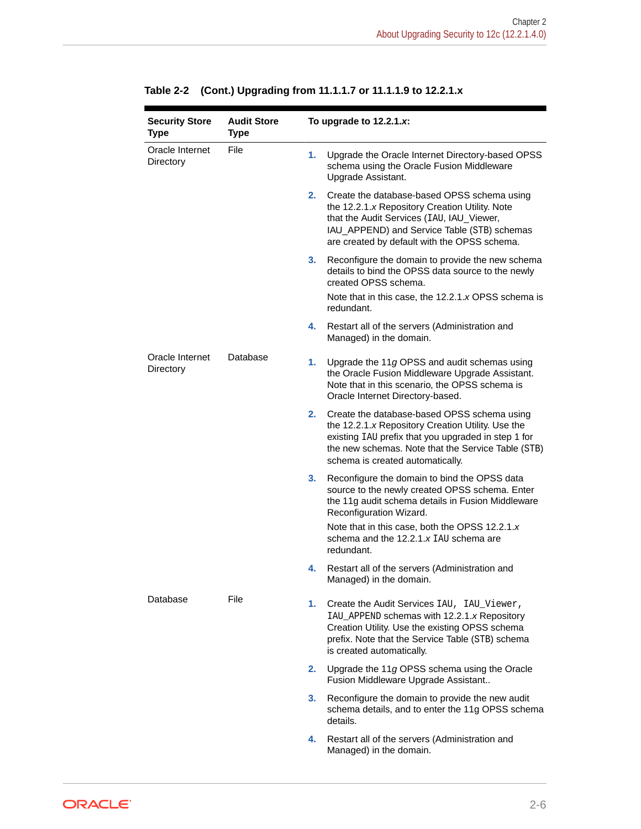| <b>Security Store</b><br><b>Type</b> | <b>Audit Store</b><br><b>Type</b> |                | To upgrade to $12.2.1.x$ :                                                                                                                                                                                                                        |
|--------------------------------------|-----------------------------------|----------------|---------------------------------------------------------------------------------------------------------------------------------------------------------------------------------------------------------------------------------------------------|
| Oracle Internet<br>Directory         | File                              | 1.             | Upgrade the Oracle Internet Directory-based OPSS<br>schema using the Oracle Fusion Middleware<br>Upgrade Assistant.                                                                                                                               |
|                                      |                                   | 2.             | Create the database-based OPSS schema using<br>the 12.2.1.x Repository Creation Utility. Note<br>that the Audit Services (IAU, IAU_Viewer,<br>IAU_APPEND) and Service Table (STB) schemas<br>are created by default with the OPSS schema.         |
|                                      |                                   | 3.             | Reconfigure the domain to provide the new schema<br>details to bind the OPSS data source to the newly<br>created OPSS schema.                                                                                                                     |
|                                      |                                   |                | Note that in this case, the 12.2.1.x OPSS schema is<br>redundant.                                                                                                                                                                                 |
|                                      |                                   | 4.             | Restart all of the servers (Administration and<br>Managed) in the domain.                                                                                                                                                                         |
| Oracle Internet<br>Directory         | Database                          | 1.             | Upgrade the 11 $g$ OPSS and audit schemas using<br>the Oracle Fusion Middleware Upgrade Assistant.<br>Note that in this scenario, the OPSS schema is<br>Oracle Internet Directory-based.                                                          |
|                                      |                                   | 2.             | Create the database-based OPSS schema using<br>the 12.2.1.x Repository Creation Utility. Use the<br>existing IAU prefix that you upgraded in step 1 for<br>the new schemas. Note that the Service Table (STB)<br>schema is created automatically. |
|                                      |                                   | 3 <sub>1</sub> | Reconfigure the domain to bind the OPSS data<br>source to the newly created OPSS schema. Enter<br>the 11g audit schema details in Fusion Middleware<br>Reconfiguration Wizard.                                                                    |
|                                      |                                   |                | Note that in this case, both the OPSS 12.2.1.x<br>schema and the 12.2.1.x IAU schema are<br>redundant.                                                                                                                                            |
|                                      |                                   | 4.             | Restart all of the servers (Administration and<br>Managed) in the domain.                                                                                                                                                                         |
| Database                             | File                              | 1.             | Create the Audit Services IAU, IAU_Viewer,<br>IAU_APPEND schemas with 12.2.1.x Repository<br>Creation Utility. Use the existing OPSS schema<br>prefix. Note that the Service Table (STB) schema<br>is created automatically.                      |
|                                      |                                   | 2.             | Upgrade the 11 $g$ OPSS schema using the Oracle<br>Fusion Middleware Upgrade Assistant                                                                                                                                                            |
|                                      |                                   | 3.             | Reconfigure the domain to provide the new audit<br>schema details, and to enter the 11g OPSS schema<br>details.                                                                                                                                   |
|                                      |                                   | 4.             | Restart all of the servers (Administration and<br>Managed) in the domain.                                                                                                                                                                         |

**Table 2-2 (Cont.) Upgrading from 11.1.1.7 or 11.1.1.9 to 12.2.1.x**

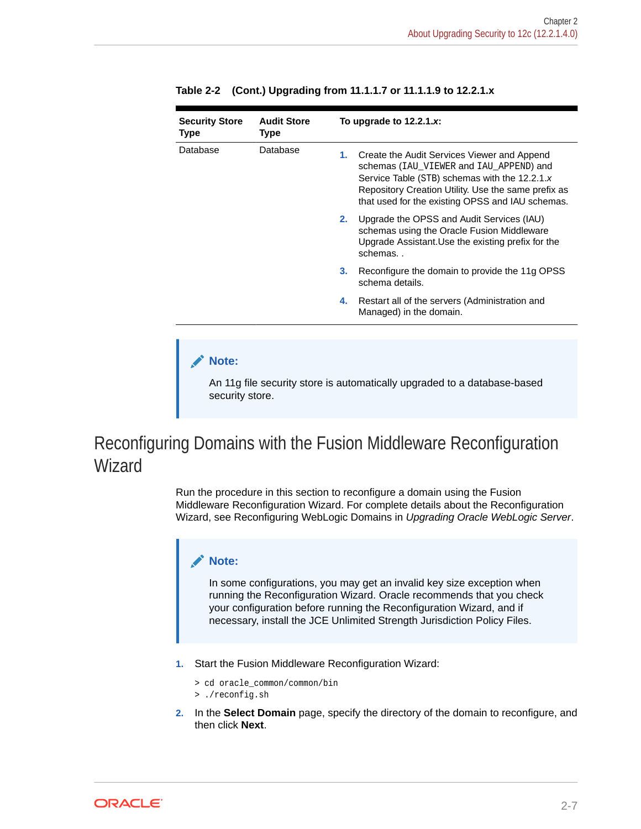| <b>Security Store</b><br>Type | <b>Audit Store</b><br>Type                                                                                                                                                                                                                         | To upgrade to $12.2.1.x$ : |                                                                                                                                                          |
|-------------------------------|----------------------------------------------------------------------------------------------------------------------------------------------------------------------------------------------------------------------------------------------------|----------------------------|----------------------------------------------------------------------------------------------------------------------------------------------------------|
| Database<br>Database<br>1.    | Create the Audit Services Viewer and Append<br>schemas (IAU VIEWER and IAU APPEND) and<br>Service Table (STB) schemas with the 12.2.1.x<br>Repository Creation Utility. Use the same prefix as<br>that used for the existing OPSS and IAU schemas. |                            |                                                                                                                                                          |
|                               |                                                                                                                                                                                                                                                    | 2.                         | Upgrade the OPSS and Audit Services (IAU)<br>schemas using the Oracle Fusion Middleware<br>Upgrade Assistant. Use the existing prefix for the<br>schemas |
|                               |                                                                                                                                                                                                                                                    | 3.                         | Reconfigure the domain to provide the 11g OPSS<br>schema details.                                                                                        |
|                               |                                                                                                                                                                                                                                                    | 4.                         | Restart all of the servers (Administration and<br>Managed) in the domain.                                                                                |

#### <span id="page-30-0"></span>**Table 2-2 (Cont.) Upgrading from 11.1.1.7 or 11.1.1.9 to 12.2.1.x**

#### **Note:**

Е

An 11g file security store is automatically upgraded to a database-based security store.

## Reconfiguring Domains with the Fusion Middleware Reconfiguration Wizard

Run the procedure in this section to reconfigure a domain using the Fusion Middleware Reconfiguration Wizard. For complete details about the Reconfiguration Wizard, see Reconfiguring WebLogic Domains in *Upgrading Oracle WebLogic Server*.

#### **Note:**

In some configurations, you may get an invalid key size exception when running the Reconfiguration Wizard. Oracle recommends that you check your configuration before running the Reconfiguration Wizard, and if necessary, install the JCE Unlimited Strength Jurisdiction Policy Files.

- **1.** Start the Fusion Middleware Reconfiguration Wizard:
	- > cd oracle\_common/common/bin
	- > ./reconfig.sh
- **2.** In the **Select Domain** page, specify the directory of the domain to reconfigure, and then click **Next**.

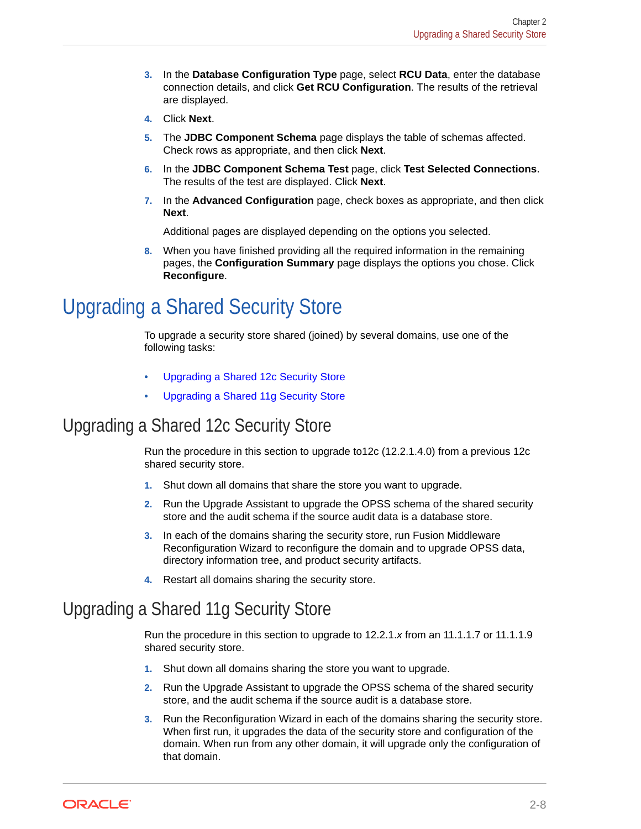- <span id="page-31-0"></span>**3.** In the **Database Configuration Type** page, select **RCU Data**, enter the database connection details, and click **Get RCU Configuration**. The results of the retrieval are displayed.
- **4.** Click **Next**.
- **5.** The **JDBC Component Schema** page displays the table of schemas affected. Check rows as appropriate, and then click **Next**.
- **6.** In the **JDBC Component Schema Test** page, click **Test Selected Connections**. The results of the test are displayed. Click **Next**.
- **7.** In the **Advanced Configuration** page, check boxes as appropriate, and then click **Next**.

Additional pages are displayed depending on the options you selected.

**8.** When you have finished providing all the required information in the remaining pages, the **Configuration Summary** page displays the options you chose. Click **Reconfigure**.

# Upgrading a Shared Security Store

To upgrade a security store shared (joined) by several domains, use one of the following tasks:

- Upgrading a Shared 12c Security Store
- Upgrading a Shared 11g Security Store

### Upgrading a Shared 12c Security Store

Run the procedure in this section to upgrade to12c (12.2.1.4.0) from a previous 12c shared security store.

- **1.** Shut down all domains that share the store you want to upgrade.
- **2.** Run the Upgrade Assistant to upgrade the OPSS schema of the shared security store and the audit schema if the source audit data is a database store.
- **3.** In each of the domains sharing the security store, run Fusion Middleware Reconfiguration Wizard to reconfigure the domain and to upgrade OPSS data, directory information tree, and product security artifacts.
- **4.** Restart all domains sharing the security store.

### Upgrading a Shared 11g Security Store

Run the procedure in this section to upgrade to 12.2.1.*x* from an 11.1.1.7 or 11.1.1.9 shared security store.

- **1.** Shut down all domains sharing the store you want to upgrade.
- **2.** Run the Upgrade Assistant to upgrade the OPSS schema of the shared security store, and the audit schema if the source audit is a database store.
- **3.** Run the Reconfiguration Wizard in each of the domains sharing the security store. When first run, it upgrades the data of the security store and configuration of the domain. When run from any other domain, it will upgrade only the configuration of that domain.

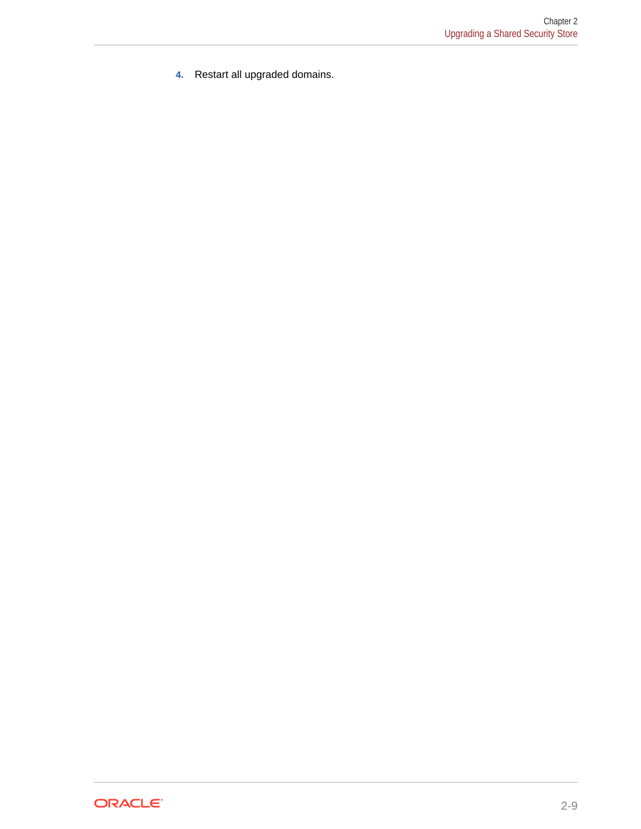**4.** Restart all upgraded domains.

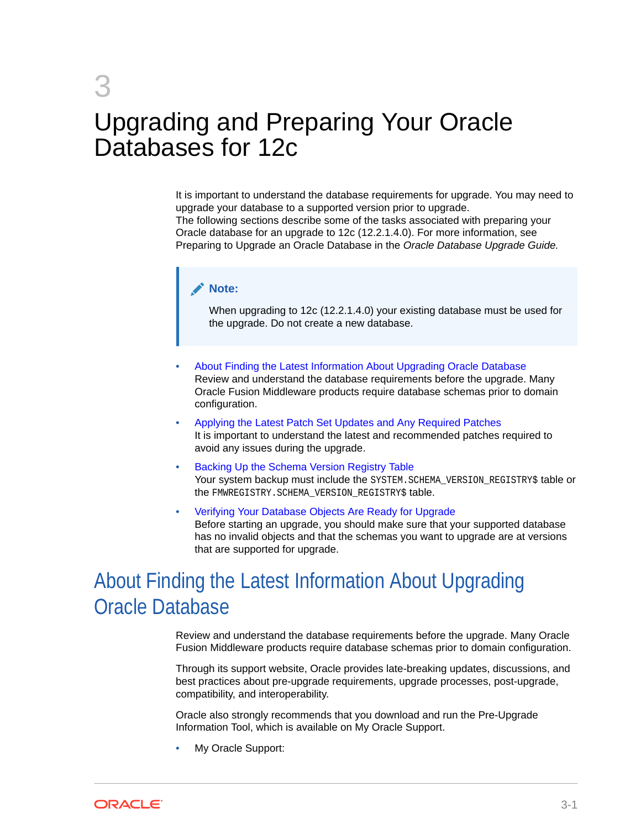# <span id="page-33-0"></span>3 Upgrading and Preparing Your Oracle Databases for 12c

It is important to understand the database requirements for upgrade. You may need to upgrade your database to a supported version prior to upgrade. The following sections describe some of the tasks associated with preparing your Oracle database for an upgrade to 12c (12.2.1.4.0). For more information, see Preparing to Upgrade an Oracle Database in the *Oracle Database Upgrade Guide.*

#### **Note:**

When upgrading to 12c (12.2.1.4.0) your existing database must be used for the upgrade. Do not create a new database.

- About Finding the Latest Information About Upgrading Oracle Database Review and understand the database requirements before the upgrade. Many Oracle Fusion Middleware products require database schemas prior to domain configuration.
- [Applying the Latest Patch Set Updates and Any Required Patches](#page-34-0) It is important to understand the latest and recommended patches required to avoid any issues during the upgrade.
- [Backing Up the Schema Version Registry Table](#page-34-0) Your system backup must include the SYSTEM. SCHEMA\_VERSION\_REGISTRY\$ table or the FMWREGISTRY. SCHEMA VERSION REGISTRY\$ table.
- [Verifying Your Database Objects Are Ready for Upgrade](#page-35-0) Before starting an upgrade, you should make sure that your supported database has no invalid objects and that the schemas you want to upgrade are at versions that are supported for upgrade.

# About Finding the Latest Information About Upgrading Oracle Database

Review and understand the database requirements before the upgrade. Many Oracle Fusion Middleware products require database schemas prior to domain configuration.

Through its support website, Oracle provides late-breaking updates, discussions, and best practices about pre-upgrade requirements, upgrade processes, post-upgrade, compatibility, and interoperability.

Oracle also strongly recommends that you download and run the Pre-Upgrade Information Tool, which is available on My Oracle Support.

• My Oracle Support:

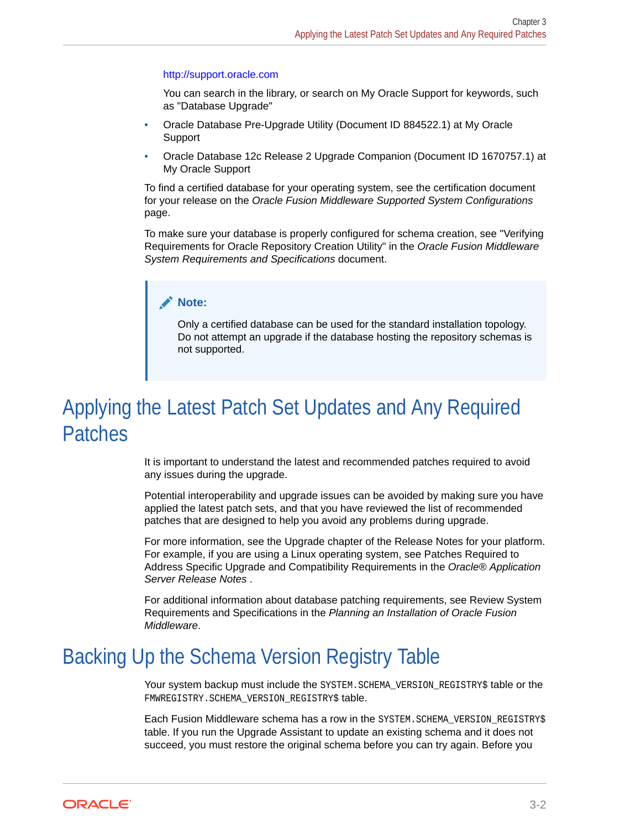#### <span id="page-34-0"></span><http://support.oracle.com>

You can search in the library, or search on My Oracle Support for keywords, such as "Database Upgrade"

- Oracle Database Pre-Upgrade Utility (Document ID 884522.1) at My Oracle Support
- Oracle Database 12c Release 2 Upgrade Companion (Document ID 1670757.1) at My Oracle Support

To find a certified database for your operating system, see the certification document for your release on the *Oracle Fusion Middleware Supported System Configurations* page.

To make sure your database is properly configured for schema creation, see "Verifying Requirements for Oracle Repository Creation Utility" in the *Oracle Fusion Middleware System Requirements and Specifications* document.

#### **Note:**

Only a certified database can be used for the standard installation topology. Do not attempt an upgrade if the database hosting the repository schemas is not supported.

# Applying the Latest Patch Set Updates and Any Required Patches

It is important to understand the latest and recommended patches required to avoid any issues during the upgrade.

Potential interoperability and upgrade issues can be avoided by making sure you have applied the latest patch sets, and that you have reviewed the list of recommended patches that are designed to help you avoid any problems during upgrade.

For more information, see the Upgrade chapter of the Release Notes for your platform. For example, if you are using a Linux operating system, see Patches Required to Address Specific Upgrade and Compatibility Requirements in the *Oracle® Application Server Release Notes* .

For additional information about database patching requirements, see Review System Requirements and Specifications in the *Planning an Installation of Oracle Fusion Middleware*.

# Backing Up the Schema Version Registry Table

Your system backup must include the SYSTEM. SCHEMA\_VERSION\_REGISTRY\$ table or the FMWREGISTRY.SCHEMA\_VERSION\_REGISTRY\$ table.

Each Fusion Middleware schema has a row in the SYSTEM.SCHEMA\_VERSION\_REGISTRY\$ table. If you run the Upgrade Assistant to update an existing schema and it does not succeed, you must restore the original schema before you can try again. Before you

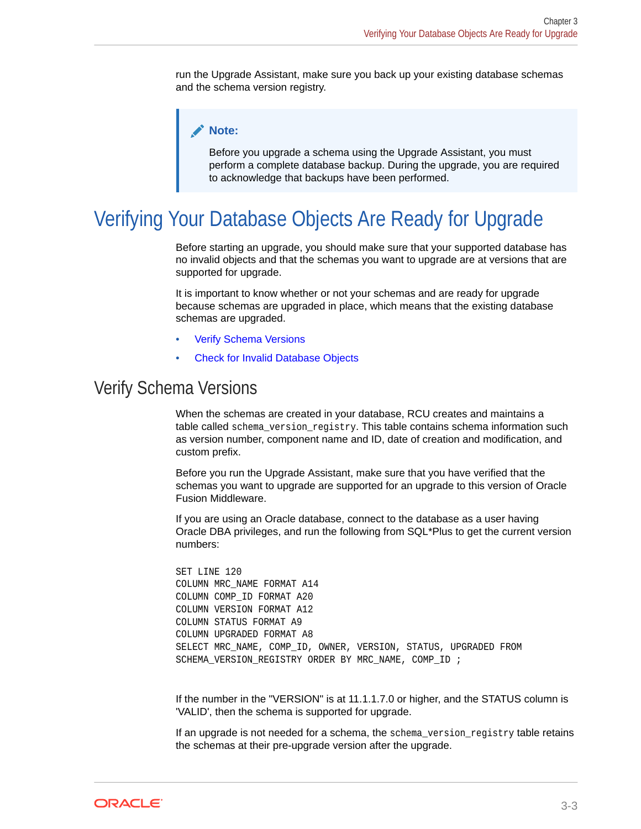<span id="page-35-0"></span>run the Upgrade Assistant, make sure you back up your existing database schemas and the schema version registry.

#### **Note:**

Before you upgrade a schema using the Upgrade Assistant, you must perform a complete database backup. During the upgrade, you are required to acknowledge that backups have been performed.

# Verifying Your Database Objects Are Ready for Upgrade

Before starting an upgrade, you should make sure that your supported database has no invalid objects and that the schemas you want to upgrade are at versions that are supported for upgrade.

It is important to know whether or not your schemas and are ready for upgrade because schemas are upgraded in place, which means that the existing database schemas are upgraded.

- **Verify Schema Versions**
- [Check for Invalid Database Objects](#page-36-0)

### Verify Schema Versions

When the schemas are created in your database, RCU creates and maintains a table called schema\_version\_registry. This table contains schema information such as version number, component name and ID, date of creation and modification, and custom prefix.

Before you run the Upgrade Assistant, make sure that you have verified that the schemas you want to upgrade are supported for an upgrade to this version of Oracle Fusion Middleware.

If you are using an Oracle database, connect to the database as a user having Oracle DBA privileges, and run the following from SQL\*Plus to get the current version numbers:

SET LINE 120 COLUMN MRC\_NAME FORMAT A14 COLUMN COMP\_ID FORMAT A20 COLUMN VERSION FORMAT A12 COLUMN STATUS FORMAT A9 COLUMN UPGRADED FORMAT A8 SELECT MRC NAME, COMP\_ID, OWNER, VERSION, STATUS, UPGRADED FROM SCHEMA\_VERSION\_REGISTRY\_ORDER BY\_MRC\_NAME, COMP\_ID ;

If the number in the "VERSION" is at 11.1.1.7.0 or higher, and the STATUS column is 'VALID', then the schema is supported for upgrade.

If an upgrade is not needed for a schema, the schema\_version\_registry table retains the schemas at their pre-upgrade version after the upgrade.

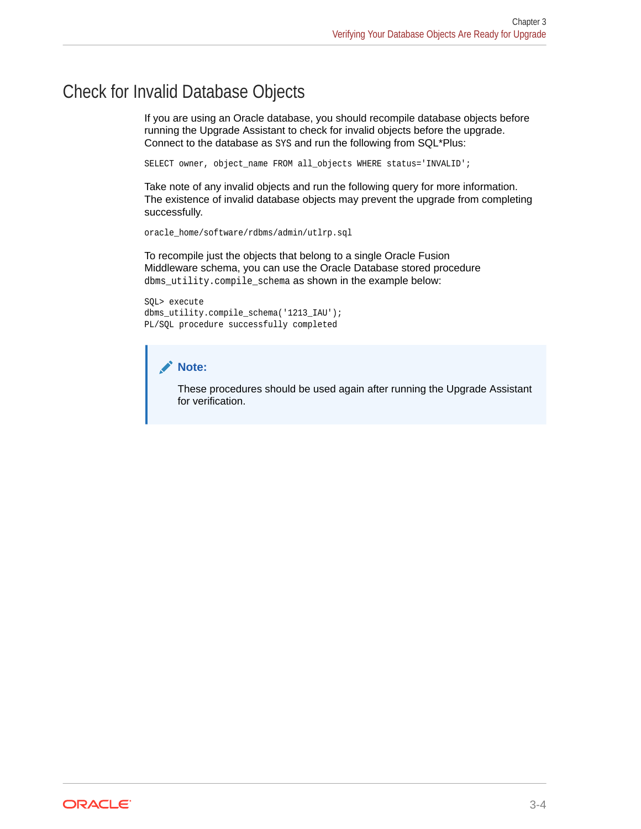### <span id="page-36-0"></span>Check for Invalid Database Objects

If you are using an Oracle database, you should recompile database objects before running the Upgrade Assistant to check for invalid objects before the upgrade. Connect to the database as SYS and run the following from SQL\*Plus:

SELECT owner, object\_name FROM all\_objects WHERE status='INVALID';

Take note of any invalid objects and run the following query for more information. The existence of invalid database objects may prevent the upgrade from completing successfully.

oracle\_home/software/rdbms/admin/utlrp.sql

To recompile just the objects that belong to a single Oracle Fusion Middleware schema, you can use the Oracle Database stored procedure dbms\_utility.compile\_schema as shown in the example below:

SQL> execute dbms\_utility.compile\_schema('1213\_IAU'); PL/SQL procedure successfully completed

#### **Note:**

These procedures should be used again after running the Upgrade Assistant for verification.

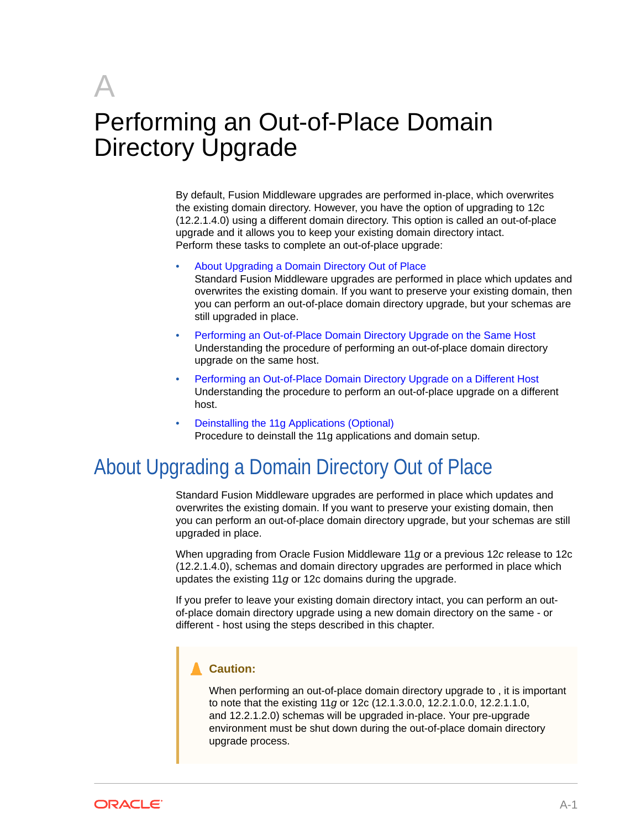# <span id="page-37-0"></span>A Performing an Out-of-Place Domain Directory Upgrade

By default, Fusion Middleware upgrades are performed in-place, which overwrites the existing domain directory. However, you have the option of upgrading to 12c (12.2.1.4.0) using a different domain directory. This option is called an out-of-place upgrade and it allows you to keep your existing domain directory intact. Perform these tasks to complete an out-of-place upgrade:

• About Upgrading a Domain Directory Out of Place

Standard Fusion Middleware upgrades are performed in place which updates and overwrites the existing domain. If you want to preserve your existing domain, then you can perform an out-of-place domain directory upgrade, but your schemas are still upgraded in place.

- [Performing an Out-of-Place Domain Directory Upgrade on the Same Host](#page-38-0) Understanding the procedure of performing an out-of-place domain directory upgrade on the same host.
- [Performing an Out-of-Place Domain Directory Upgrade on a Different Host](#page-44-0) Understanding the procedure to perform an out-of-place upgrade on a different host.
- [Deinstalling the 11g Applications \(Optional\)](#page-46-0) Procedure to deinstall the 11g applications and domain setup.

# About Upgrading a Domain Directory Out of Place

Standard Fusion Middleware upgrades are performed in place which updates and overwrites the existing domain. If you want to preserve your existing domain, then you can perform an out-of-place domain directory upgrade, but your schemas are still upgraded in place.

When upgrading from Oracle Fusion Middleware 11*g* or a previous 12*c* release to 12c (12.2.1.4.0), schemas and domain directory upgrades are performed in place which updates the existing 11*g* or 12c domains during the upgrade.

If you prefer to leave your existing domain directory intact, you can perform an outof-place domain directory upgrade using a new domain directory on the same - or different - host using the steps described in this chapter.

#### **Caution:**

When performing an out-of-place domain directory upgrade to , it is important to note that the existing 11*g* or 12c (12.1.3.0.0, 12.2.1.0.0, 12.2.1.1.0, and 12.2.1.2.0) schemas will be upgraded in-place. Your pre-upgrade environment must be shut down during the out-of-place domain directory upgrade process.

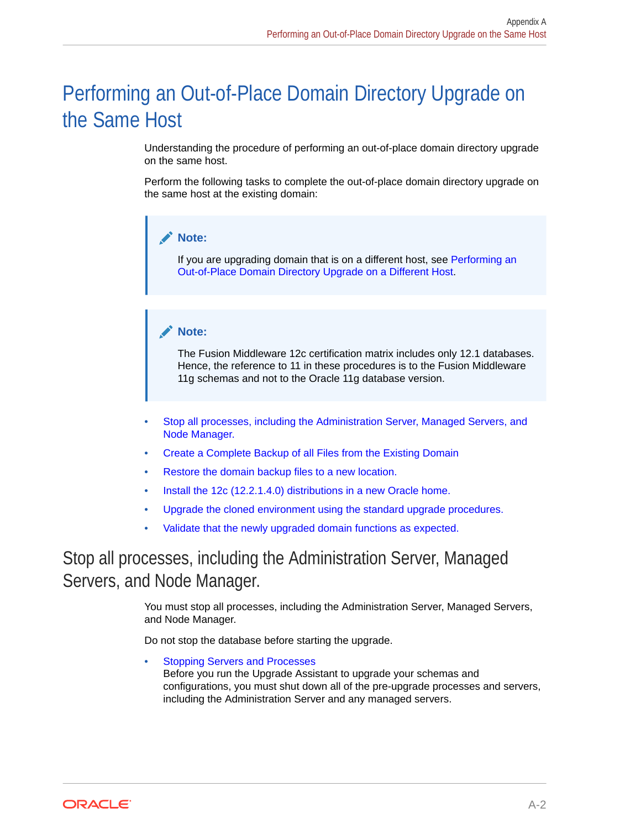# <span id="page-38-0"></span>Performing an Out-of-Place Domain Directory Upgrade on the Same Host

Understanding the procedure of performing an out-of-place domain directory upgrade on the same host.

Perform the following tasks to complete the out-of-place domain directory upgrade on the same host at the existing domain:

#### **Note:**

If you are upgrading domain that is on a different host, see [Performing an](#page-44-0) [Out-of-Place Domain Directory Upgrade on a Different Host](#page-44-0).

#### **Note:**

The Fusion Middleware 12c certification matrix includes only 12.1 databases. Hence, the reference to 11 in these procedures is to the Fusion Middleware 11g schemas and not to the Oracle 11g database version.

- Stop all processes, including the Administration Server, Managed Servers, and Node Manager.
- [Create a Complete Backup of all Files from the Existing Domain](#page-40-0)
- [Restore the domain backup files to a new location.](#page-40-0)
- [Install the 12c \(12.2.1.4.0\) distributions in a new Oracle home.](#page-41-0)
- [Upgrade the cloned environment using the standard upgrade procedures.](#page-41-0)
- [Validate that the newly upgraded domain functions as expected.](#page-44-0)

### Stop all processes, including the Administration Server, Managed Servers, and Node Manager.

You must stop all processes, including the Administration Server, Managed Servers, and Node Manager.

Do not stop the database before starting the upgrade.

**[Stopping Servers and Processes](#page-39-0)** Before you run the Upgrade Assistant to upgrade your schemas and configurations, you must shut down all of the pre-upgrade processes and servers, including the Administration Server and any managed servers.

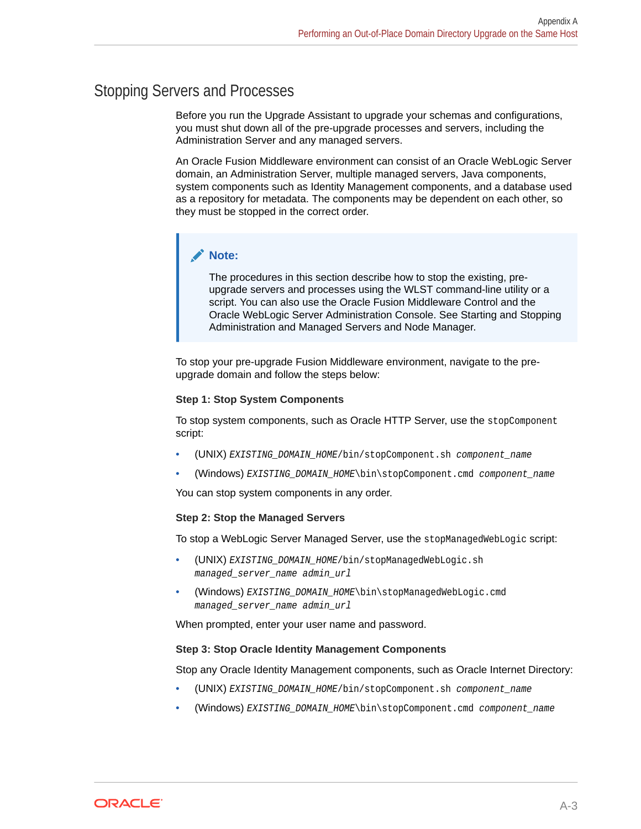### <span id="page-39-0"></span>Stopping Servers and Processes

Before you run the Upgrade Assistant to upgrade your schemas and configurations, you must shut down all of the pre-upgrade processes and servers, including the Administration Server and any managed servers.

An Oracle Fusion Middleware environment can consist of an Oracle WebLogic Server domain, an Administration Server, multiple managed servers, Java components, system components such as Identity Management components, and a database used as a repository for metadata. The components may be dependent on each other, so they must be stopped in the correct order.

#### **Note:**

The procedures in this section describe how to stop the existing, preupgrade servers and processes using the WLST command-line utility or a script. You can also use the Oracle Fusion Middleware Control and the Oracle WebLogic Server Administration Console. See Starting and Stopping Administration and Managed Servers and Node Manager.

To stop your pre-upgrade Fusion Middleware environment, navigate to the preupgrade domain and follow the steps below:

#### **Step 1: Stop System Components**

To stop system components, such as Oracle HTTP Server, use the stopComponent script:

- (UNIX) EXISTING\_DOMAIN\_HOME/bin/stopComponent.sh component\_name
- (Windows) EXISTING DOMAIN HOME\bin\stopComponent.cmd component name

You can stop system components in any order.

#### **Step 2: Stop the Managed Servers**

To stop a WebLogic Server Managed Server, use the stopManagedWebLogic script:

- (UNIX) EXISTING\_DOMAIN\_HOME/bin/stopManagedWebLogic.sh managed\_server\_name admin\_url
- (Windows) EXISTING\_DOMAIN\_HOME\bin\stopManagedWebLogic.cmd managed\_server\_name admin\_url

When prompted, enter your user name and password.

#### **Step 3: Stop Oracle Identity Management Components**

Stop any Oracle Identity Management components, such as Oracle Internet Directory:

- (UNIX) EXISTING\_DOMAIN\_HOME/bin/stopComponent.sh component\_name
- (Windows) EXISTING\_DOMAIN\_HOME\bin\stopComponent.cmd component\_name

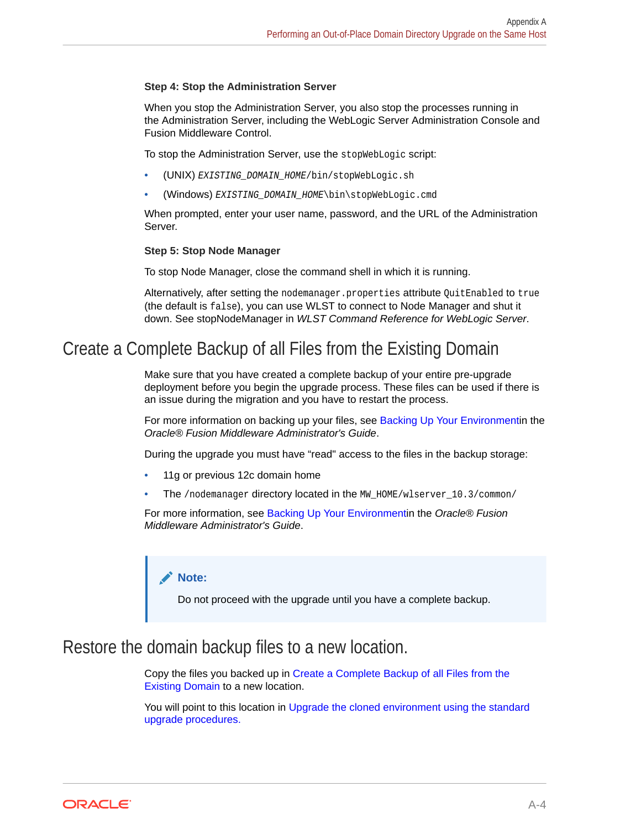#### <span id="page-40-0"></span>**Step 4: Stop the Administration Server**

When you stop the Administration Server, you also stop the processes running in the Administration Server, including the WebLogic Server Administration Console and Fusion Middleware Control.

To stop the Administration Server, use the stopWebLogic script:

- (UNIX) EXISTING\_DOMAIN\_HOME/bin/stopWebLogic.sh
- (Windows) EXISTING\_DOMAIN\_HOME\bin\stopWebLogic.cmd

When prompted, enter your user name, password, and the URL of the Administration Server.

#### **Step 5: Stop Node Manager**

To stop Node Manager, close the command shell in which it is running.

Alternatively, after setting the nodemanager.properties attribute QuitEnabled to true (the default is false), you can use WLST to connect to Node Manager and shut it down. See stopNodeManager in *WLST Command Reference for WebLogic Server*.

### Create a Complete Backup of all Files from the Existing Domain

Make sure that you have created a complete backup of your entire pre-upgrade deployment before you begin the upgrade process. These files can be used if there is an issue during the migration and you have to restart the process.

For more information on backing up your files, see [Backing Up Your Environment](http://oracle.com/pls/topic/lookup?ctx=as111170&id=ASADM376)in the *Oracle® Fusion Middleware Administrator's Guide*.

During the upgrade you must have "read" access to the files in the backup storage:

- 11g or previous 12c domain home
- The /nodemanager directory located in the MW  $HOME/wlserver$  10.3/common/

For more information, see [Backing Up Your Environment](http://oracle.com/pls/topic/lookup?ctx=as111170&id=ASADM376)in the *Oracle® Fusion Middleware Administrator's Guide*.

#### **Note:**

Do not proceed with the upgrade until you have a complete backup.

### Restore the domain backup files to a new location.

Copy the files you backed up in Create a Complete Backup of all Files from the Existing Domain to a new location.

You will point to this location in [Upgrade the cloned environment using the standard](#page-41-0) [upgrade procedures.](#page-41-0)

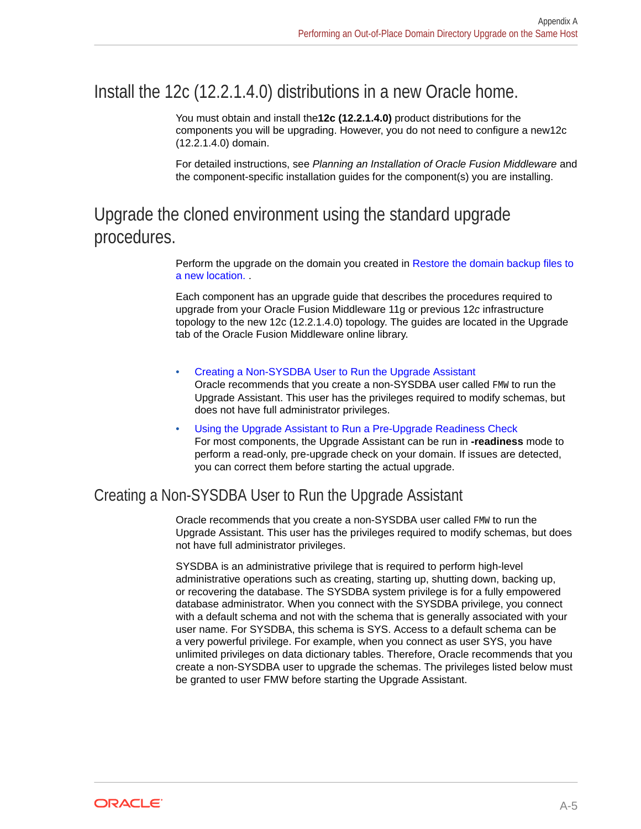### <span id="page-41-0"></span>Install the 12c (12.2.1.4.0) distributions in a new Oracle home.

You must obtain and install the**12c (12.2.1.4.0)** product distributions for the components you will be upgrading. However, you do not need to configure a new12c (12.2.1.4.0) domain.

For detailed instructions, see *Planning an Installation of Oracle Fusion Middleware* and the component-specific installation guides for the component(s) you are installing.

## Upgrade the cloned environment using the standard upgrade procedures.

Perform the upgrade on the domain you created in [Restore the domain backup files to](#page-40-0) [a new location.](#page-40-0) .

Each component has an upgrade guide that describes the procedures required to upgrade from your Oracle Fusion Middleware 11g or previous 12*c* infrastructure topology to the new 12c (12.2.1.4.0) topology. The guides are located in the Upgrade tab of the Oracle Fusion Middleware online library.

• Creating a Non-SYSDBA User to Run the Upgrade Assistant Oracle recommends that you create a non-SYSDBA user called FMW to run the Upgrade Assistant. This user has the privileges required to modify schemas, but does not have full administrator privileges.

• [Using the Upgrade Assistant to Run a Pre-Upgrade Readiness Check](#page-43-0) For most components, the Upgrade Assistant can be run in **-readiness** mode to perform a read-only, pre-upgrade check on your domain. If issues are detected, you can correct them before starting the actual upgrade.

### Creating a Non-SYSDBA User to Run the Upgrade Assistant

Oracle recommends that you create a non-SYSDBA user called FMW to run the Upgrade Assistant. This user has the privileges required to modify schemas, but does not have full administrator privileges.

SYSDBA is an administrative privilege that is required to perform high-level administrative operations such as creating, starting up, shutting down, backing up, or recovering the database. The SYSDBA system privilege is for a fully empowered database administrator. When you connect with the SYSDBA privilege, you connect with a default schema and not with the schema that is generally associated with your user name. For SYSDBA, this schema is SYS. Access to a default schema can be a very powerful privilege. For example, when you connect as user SYS, you have unlimited privileges on data dictionary tables. Therefore, Oracle recommends that you create a non-SYSDBA user to upgrade the schemas. The privileges listed below must be granted to user FMW before starting the Upgrade Assistant.

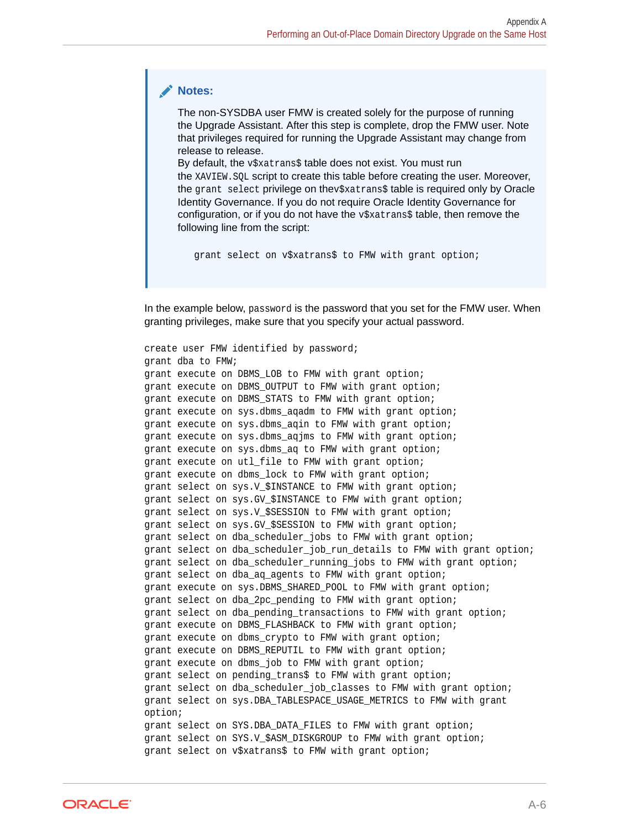#### **Notes:**

The non-SYSDBA user FMW is created solely for the purpose of running the Upgrade Assistant. After this step is complete, drop the FMW user. Note that privileges required for running the Upgrade Assistant may change from release to release.

By default, the v\$xatrans\$ table does not exist. You must run the XAVIEW.SQL script to create this table before creating the user. Moreover, the grant select privilege on thev\$xatrans\$ table is required only by Oracle Identity Governance. If you do not require Oracle Identity Governance for configuration, or if you do not have the  $v$ \$xatrans\$ table, then remove the following line from the script:

grant select on v\$xatrans\$ to FMW with grant option;

In the example below, password is the password that you set for the FMW user. When granting privileges, make sure that you specify your actual password.

create user FMW identified by password; grant dba to FMW; grant execute on DBMS\_LOB to FMW with grant option; grant execute on DBMS\_OUTPUT to FMW with grant option; grant execute on DBMS STATS to FMW with grant option; grant execute on sys.dbms agadm to FMW with grant option; grant execute on sys.dbms\_aqin to FMW with grant option; grant execute on sys.dbms\_aqjms to FMW with grant option; grant execute on sys.dbms\_aq to FMW with grant option; grant execute on utl file to FMW with grant option; grant execute on dbms lock to FMW with grant option; grant select on sys.V \$INSTANCE to FMW with grant option; grant select on sys.GV\_\$INSTANCE to FMW with grant option; grant select on sys.V\_\$SESSION to FMW with grant option; grant select on sys.GV\_\$SESSION to FMW with grant option; grant select on dba scheduler jobs to FMW with grant option; grant select on dba scheduler job run details to FMW with grant option; grant select on dba\_scheduler\_running\_jobs to FMW with grant option; grant select on dba ag agents to FMW with grant option; grant execute on sys.DBMS\_SHARED\_POOL to FMW with grant option; grant select on dba\_2pc\_pending to FMW with grant option; grant select on dba pending transactions to FMW with grant option; grant execute on DBMS FLASHBACK to FMW with grant option; grant execute on dbms\_crypto to FMW with grant option; grant execute on DBMS\_REPUTIL to FMW with grant option; grant execute on dbms\_job to FMW with grant option; grant select on pending trans\$ to FMW with grant option; grant select on dba scheduler job classes to FMW with grant option; grant select on sys.DBA\_TABLESPACE\_USAGE\_METRICS to FMW with grant option; grant select on SYS.DBA\_DATA\_FILES to FMW with grant option; grant select on SYS.V \$ASM DISKGROUP to FMW with grant option; grant select on v\$xatrans\$ to FMW with grant option;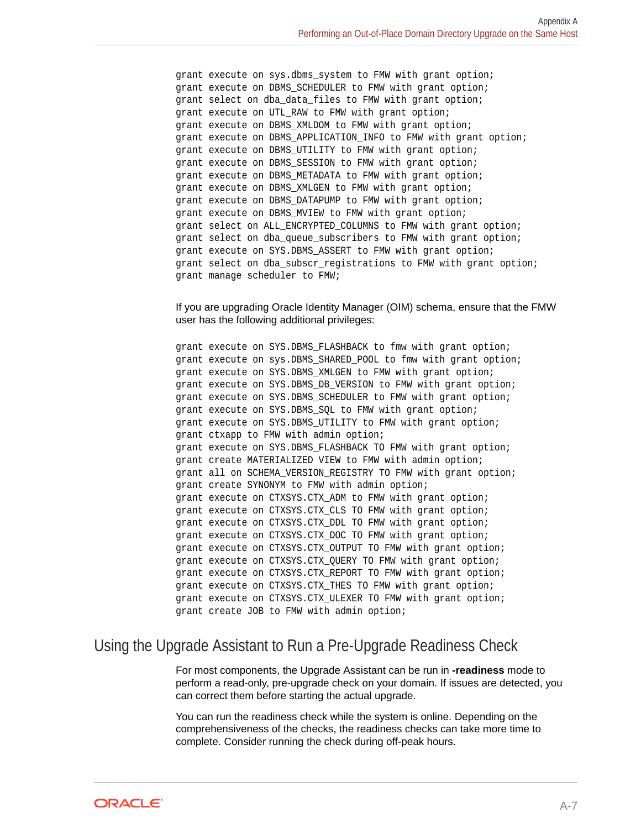<span id="page-43-0"></span>grant execute on sys.dbms\_system to FMW with grant option; grant execute on DBMS\_SCHEDULER to FMW with grant option; grant select on dba\_data\_files to FMW with grant option; grant execute on UTL\_RAW to FMW with grant option; grant execute on DBMS\_XMLDOM to FMW with grant option; grant execute on DBMS\_APPLICATION\_INFO to FMW with grant option; grant execute on DBMS\_UTILITY to FMW with grant option; grant execute on DBMS\_SESSION to FMW with grant option; grant execute on DBMS\_METADATA to FMW with grant option; grant execute on DBMS\_XMLGEN to FMW with grant option; grant execute on DBMS\_DATAPUMP to FMW with grant option; grant execute on DBMS\_MVIEW to FMW with grant option; grant select on ALL\_ENCRYPTED\_COLUMNS to FMW with grant option; grant select on dba\_queue\_subscribers to FMW with grant option; grant execute on SYS.DBMS\_ASSERT to FMW with grant option; grant select on dba\_subscr\_registrations to FMW with grant option; grant manage scheduler to FMW;

#### If you are upgrading Oracle Identity Manager (OIM) schema, ensure that the FMW user has the following additional privileges:

grant execute on SYS.DBMS\_FLASHBACK to fmw with grant option; grant execute on sys.DBMS\_SHARED\_POOL to fmw with grant option; grant execute on SYS.DBMS\_XMLGEN to FMW with grant option; grant execute on SYS.DBMS\_DB\_VERSION to FMW with grant option; grant execute on SYS.DBMS\_SCHEDULER to FMW with grant option; grant execute on SYS.DBMS\_SQL to FMW with grant option; grant execute on SYS. DBMS UTILITY to FMW with grant option; grant ctxapp to FMW with admin option; grant execute on SYS. DBMS FLASHBACK TO FMW with grant option; grant create MATERIALIZED VIEW to FMW with admin option; grant all on SCHEMA VERSION REGISTRY TO FMW with grant option; grant create SYNONYM to FMW with admin option; grant execute on CTXSYS.CTX\_ADM to FMW with grant option; grant execute on CTXSYS. CTX CLS TO FMW with grant option; grant execute on CTXSYS.CTX\_DDL TO FMW with grant option; grant execute on CTXSYS.CTX\_DOC TO FMW with grant option; grant execute on CTXSYS.CTX\_OUTPUT TO FMW with grant option; grant execute on CTXSYS.CTX\_QUERY TO FMW with grant option; grant execute on CTXSYS.CTX\_REPORT TO FMW with grant option; grant execute on CTXSYS. CTX THES TO FMW with grant option; grant execute on CTXSYS.CTX\_ULEXER TO FMW with grant option; grant create JOB to FMW with admin option;

#### Using the Upgrade Assistant to Run a Pre-Upgrade Readiness Check

For most components, the Upgrade Assistant can be run in **-readiness** mode to perform a read-only, pre-upgrade check on your domain. If issues are detected, you can correct them before starting the actual upgrade.

You can run the readiness check while the system is online. Depending on the comprehensiveness of the checks, the readiness checks can take more time to complete. Consider running the check during off-peak hours.

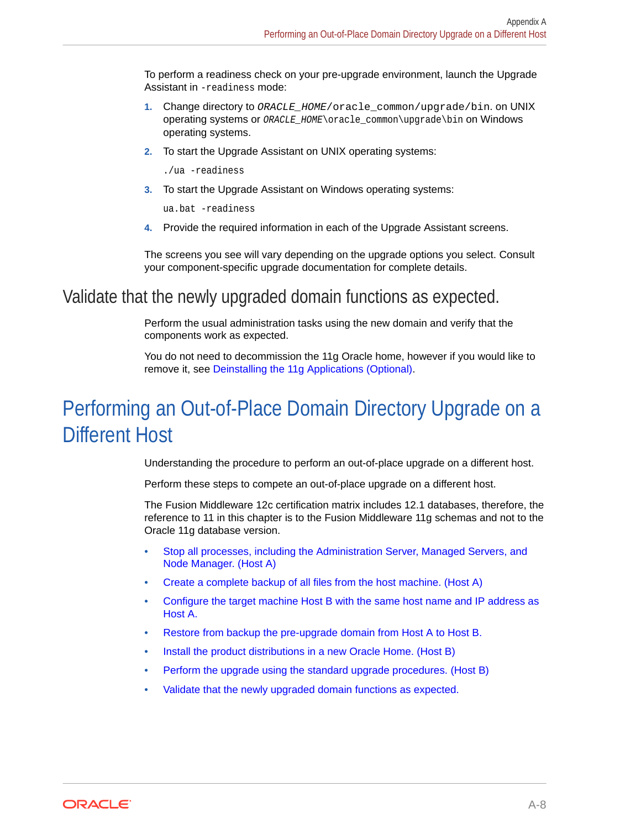<span id="page-44-0"></span>To perform a readiness check on your pre-upgrade environment, launch the Upgrade Assistant in -readiness mode:

- **1.** Change directory to ORACLE\_HOME/oracle\_common/upgrade/bin. on UNIX operating systems or ORACLE\_HOME\oracle\_common\upgrade\bin on Windows operating systems.
- **2.** To start the Upgrade Assistant on UNIX operating systems:

./ua -readiness

**3.** To start the Upgrade Assistant on Windows operating systems:

ua.bat -readiness

**4.** Provide the required information in each of the Upgrade Assistant screens.

The screens you see will vary depending on the upgrade options you select. Consult your component-specific upgrade documentation for complete details.

### Validate that the newly upgraded domain functions as expected.

Perform the usual administration tasks using the new domain and verify that the components work as expected.

You do not need to decommission the 11g Oracle home, however if you would like to remove it, see [Deinstalling the 11g Applications \(Optional\)](#page-46-0).

# Performing an Out-of-Place Domain Directory Upgrade on a Different Host

Understanding the procedure to perform an out-of-place upgrade on a different host.

Perform these steps to compete an out-of-place upgrade on a different host.

The Fusion Middleware 12c certification matrix includes 12.1 databases, therefore, the reference to 11 in this chapter is to the Fusion Middleware 11g schemas and not to the Oracle 11g database version.

- [Stop all processes, including the Administration Server, Managed Servers, and](#page-45-0) [Node Manager. \(Host A\)](#page-45-0)
- [Create a complete backup of all files from the host machine. \(Host A\)](#page-45-0)
- [Configure the target machine Host B with the same host name and IP address as](#page-45-0) [Host A.](#page-45-0)
- [Restore from backup the pre-upgrade domain from Host A to Host B.](#page-45-0)
- [Install the product distributions in a new Oracle Home. \(Host B\)](#page-45-0)
- [Perform the upgrade using the standard upgrade procedures. \(Host B\)](#page-46-0)
- [Validate that the newly upgraded domain functions as expected.](#page-46-0)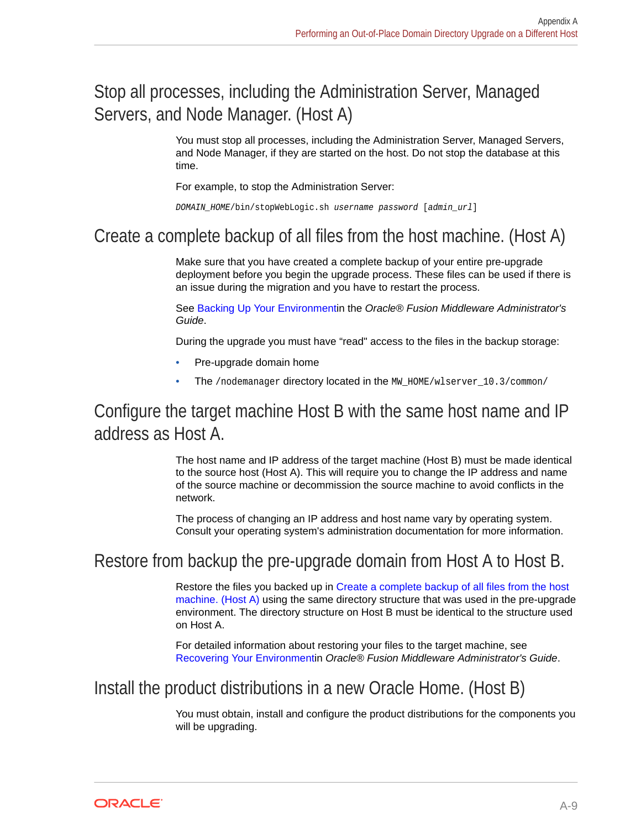## <span id="page-45-0"></span>Stop all processes, including the Administration Server, Managed Servers, and Node Manager. (Host A)

You must stop all processes, including the Administration Server, Managed Servers, and Node Manager, if they are started on the host. Do not stop the database at this time.

For example, to stop the Administration Server:

DOMAIN\_HOME/bin/stopWebLogic.sh username password [admin\_url]

### Create a complete backup of all files from the host machine. (Host A)

Make sure that you have created a complete backup of your entire pre-upgrade deployment before you begin the upgrade process. These files can be used if there is an issue during the migration and you have to restart the process.

See [Backing Up Your Environmenti](http://oracle.com/pls/topic/lookup?ctx=as111170&id=ASADM376)n the *Oracle® Fusion Middleware Administrator's Guide*.

During the upgrade you must have "read" access to the files in the backup storage:

- Pre-upgrade domain home
- The /nodemanager directory located in the MW  $HOME/wlserver$  10.3/common/

### Configure the target machine Host B with the same host name and IP address as Host A.

The host name and IP address of the target machine (Host B) must be made identical to the source host (Host A). This will require you to change the IP address and name of the source machine or decommission the source machine to avoid conflicts in the network.

The process of changing an IP address and host name vary by operating system. Consult your operating system's administration documentation for more information.

### Restore from backup the pre-upgrade domain from Host A to Host B.

Restore the files you backed up in Create a complete backup of all files from the host machine. (Host A) using the same directory structure that was used in the pre-upgrade environment. The directory structure on Host B must be identical to the structure used on Host A.

For detailed information about restoring your files to the target machine, see [Recovering Your Environment](http://oracle.com/pls/topic/lookup?ctx=as111170&id=ASADM400)in *Oracle® Fusion Middleware Administrator's Guide*.

### Install the product distributions in a new Oracle Home. (Host B)

You must obtain, install and configure the product distributions for the components you will be upgrading.

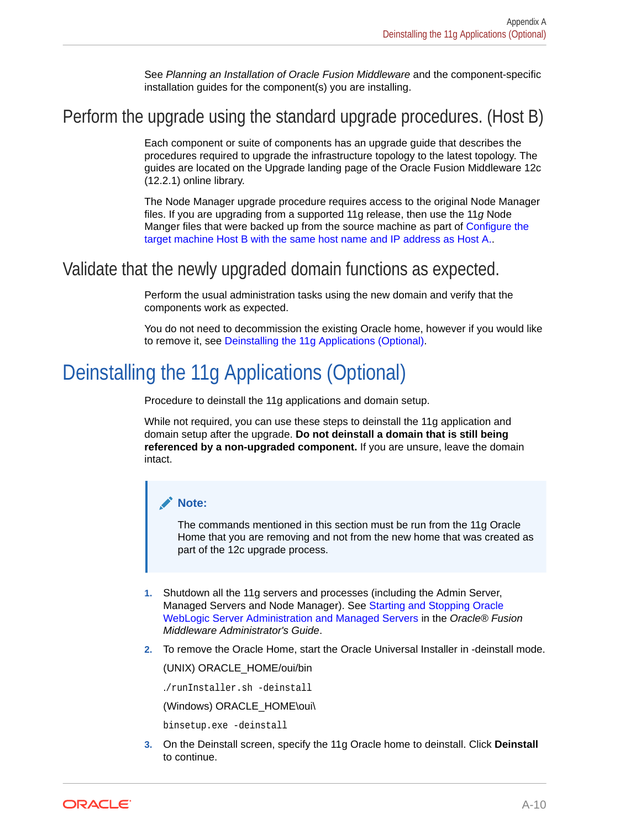See *Planning an Installation of Oracle Fusion Middleware* and the component-specific installation guides for the component(s) you are installing.

### <span id="page-46-0"></span>Perform the upgrade using the standard upgrade procedures. (Host B)

Each component or suite of components has an upgrade guide that describes the procedures required to upgrade the infrastructure topology to the latest topology. The guides are located on the Upgrade landing page of the Oracle Fusion Middleware 12c (12.2.1) online library.

The Node Manager upgrade procedure requires access to the original Node Manager files. If you are upgrading from a supported 11g release, then use the 11*g* Node Manger files that were backed up from the source machine as part of [Configure the](#page-45-0) [target machine Host B with the same host name and IP address as Host A..](#page-45-0)

### Validate that the newly upgraded domain functions as expected.

Perform the usual administration tasks using the new domain and verify that the components work as expected.

You do not need to decommission the existing Oracle home, however if you would like to remove it, see Deinstalling the 11g Applications (Optional).

# Deinstalling the 11g Applications (Optional)

Procedure to deinstall the 11g applications and domain setup.

While not required, you can use these steps to deinstall the 11g application and domain setup after the upgrade. **Do not deinstall a domain that is still being referenced by a non-upgraded component.** If you are unsure, leave the domain intact.

#### **Note:**

The commands mentioned in this section must be run from the 11g Oracle Home that you are removing and not from the new home that was created as part of the 12c upgrade process.

- **1.** Shutdown all the 11g servers and processes (including the Admin Server, Managed Servers and Node Manager). See [Starting and Stopping Oracle](http://oracle.com/pls/topic/lookup?ctx=as111170&id=ASADM10029) [WebLogic Server Administration and Managed Servers](http://oracle.com/pls/topic/lookup?ctx=as111170&id=ASADM10029) in the *Oracle® Fusion Middleware Administrator's Guide*.
- **2.** To remove the Oracle Home, start the Oracle Universal Installer in -deinstall mode.

(UNIX) ORACLE\_HOME/oui/bin

./runInstaller.sh -deinstall

(Windows) ORACLE\_HOME\oui\

binsetup.exe -deinstall

**3.** On the Deinstall screen, specify the 11g Oracle home to deinstall. Click **Deinstall** to continue.